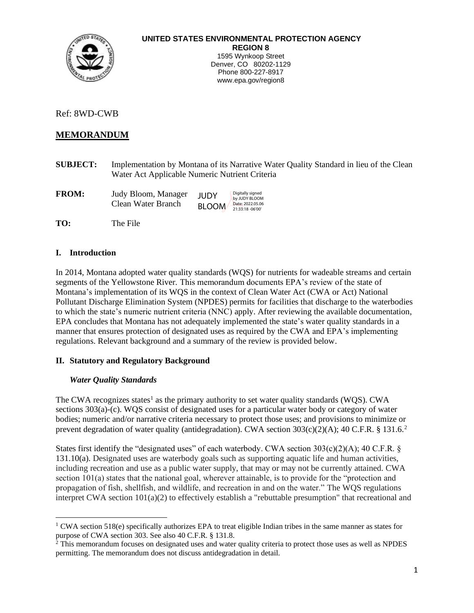

## **UNITED STATES ENVIRONMENTAL PROTECTION AGENCY REGION 8**

1595 Wynkoop Street Denver, CO 80202-1129 Phone 800-227-8917 www.epa.gov/region8

Ref: 8WD-CWB

# **MEMORANDUM**

**SUBJECT:** Implementation by Montana of its Narrative Water Quality Standard in lieu of the Clean Water Act Applicable Numeric Nutrient Criteria

| <b>FROM:</b> | Judy Bloom, Manager | <b>JUDY</b>  | Digitally signed<br>by JUDY BLOOM     |
|--------------|---------------------|--------------|---------------------------------------|
|              | Clean Water Branch  | <b>BLOOM</b> | Date: 2022.05.06<br>21:33:18 - 06'00' |

**TO:** The File

## **I. Introduction**

In 2014, Montana adopted water quality standards (WQS) for nutrients for wadeable streams and certain segments of the Yellowstone River. This memorandum documents EPA's review of the state of Montana's implementation of its WQS in the context of Clean Water Act (CWA or Act) National Pollutant Discharge Elimination System (NPDES) permits for facilities that discharge to the waterbodies to which the state's numeric nutrient criteria (NNC) apply. After reviewing the available documentation, EPA concludes that Montana has not adequately implemented the state's water quality standards in a manner that ensures protection of designated uses as required by the CWA and EPA's implementing regulations. Relevant background and a summary of the review is provided below.

## **II. Statutory and Regulatory Background**

## *Water Quality Standards*

The CWA recognizes states<sup>1</sup> as the primary authority to set water quality standards (WQS). CWA sections 303(a)-(c). WQS consist of designated uses for a particular water body or category of water bodies; numeric and/or narrative criteria necessary to protect those uses; and provisions to minimize or prevent degradation of water quality (antidegradation). CWA section 303(c)(2)(A); 40 C.F.R. § 131.6.<sup>2</sup>

States first identify the "designated uses" of each waterbody. CWA section  $303(c)(2)(A)$ ; 40 C.F.R. § 131.10(a). Designated uses are waterbody goals such as supporting aquatic life and human activities, including recreation and use as a public water supply, that may or may not be currently attained. CWA section 101(a) states that the national goal, wherever attainable, is to provide for the "protection and propagation of fish, shellfish, and wildlife, and recreation in and on the water." The WQS regulations interpret CWA section 101(a)(2) to effectively establish a "rebuttable presumption" that recreational and

<sup>&</sup>lt;sup>1</sup> CWA section 518(e) specifically authorizes EPA to treat eligible Indian tribes in the same manner as states for purpose of CWA section 303. See also 40 C.F.R. § 131.8.

 $2^2$  This memorandum focuses on designated uses and water quality criteria to protect those uses as well as NPDES permitting. The memorandum does not discuss antidegradation in detail.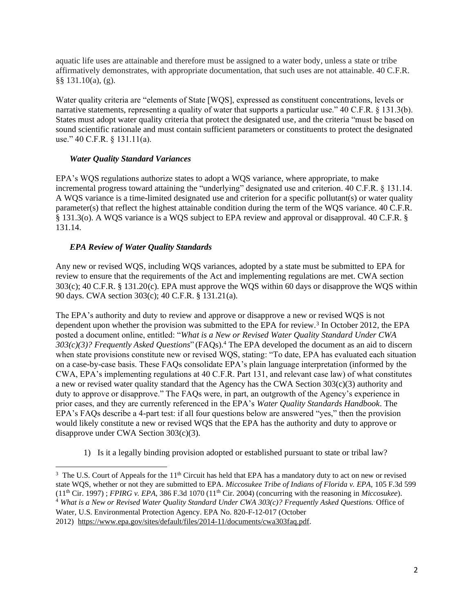aquatic life uses are attainable and therefore must be assigned to a water body, unless a state or tribe affirmatively demonstrates, with appropriate documentation, that such uses are not attainable. 40 C.F.R. §§ 131.10(a), (g).

Water quality criteria are "elements of State [WQS], expressed as constituent concentrations, levels or narrative statements, representing a quality of water that supports a particular use." 40 C.F.R. § 131.3(b). States must adopt water quality criteria that protect the designated use, and the criteria "must be based on sound scientific rationale and must contain sufficient parameters or constituents to protect the designated use." 40 C.F.R. § 131.11(a).

#### *Water Quality Standard Variances*

EPA's WQS regulations authorize states to adopt a WQS variance, where appropriate, to make incremental progress toward attaining the "underlying" designated use and criterion. 40 C.F.R. § 131.14. A WQS variance is a time-limited designated use and criterion for a specific pollutant(s) or water quality parameter(s) that reflect the highest attainable condition during the term of the WQS variance. 40 C.F.R. § 131.3(o). A WQS variance is a WQS subject to EPA review and approval or disapproval. 40 C.F.R. § 131.14.

## *EPA Review of Water Quality Standards*

Any new or revised WQS, including WQS variances, adopted by a state must be submitted to EPA for review to ensure that the requirements of the Act and implementing regulations are met. CWA section 303(c); 40 C.F.R. § 131.20(c). EPA must approve the WQS within 60 days or disapprove the WQS within 90 days. CWA section 303(c); 40 C.F.R. § 131.21(a).

The EPA's authority and duty to review and approve or disapprove a new or revised WQS is not dependent upon whether the provision was submitted to the EPA for review.<sup>3</sup> In October 2012, the EPA posted a document online, entitled: "*What is a New or Revised Water Quality Standard Under CWA 303(c)(3)? Frequently Asked Questions*" (FAQs).<sup>4</sup> The EPA developed the document as an aid to discern when state provisions constitute new or revised WQS, stating: "To date, EPA has evaluated each situation on a case-by-case basis. These FAQs consolidate EPA's plain language interpretation (informed by the CWA, EPA's implementing regulations at 40 C.F.R. Part 131, and relevant case law) of what constitutes a new or revised water quality standard that the Agency has the CWA Section 303(c)(3) authority and duty to approve or disapprove." The FAQs were, in part, an outgrowth of the Agency's experience in prior cases, and they are currently referenced in the EPA's *Water Quality Standards Handbook*. The EPA's FAQs describe a 4-part test: if all four questions below are answered "yes," then the provision would likely constitute a new or revised WQS that the EPA has the authority and duty to approve or disapprove under CWA Section 303(c)(3).

1) Is it a legally binding provision adopted or established pursuant to state or tribal law?

<sup>&</sup>lt;sup>3</sup> The U.S. Court of Appeals for the  $11<sup>th</sup>$  Circuit has held that EPA has a mandatory duty to act on new or revised state WQS, whether or not they are submitted to EPA. *Miccosukee Tribe of Indians of Florida v. EPA,* 105 F.3d 599  $(11<sup>th</sup> Cir. 1997)$ ; *FPIRG v. EPA*, 386 F.3d 1070 ( $11<sup>th</sup> Cir. 2004$ ) (concurring with the reasoning in *Miccosukee*). <sup>4</sup> *What is a New or Revised Water Quality Standard Under CWA 303(c)? Frequently Asked Questions..* Office of Water, U.S. Environmental Protection Agency. EPA No. 820-F-12-017 (October 2012) [https://www.epa.gov/sites/default/files/2014-11/documents/cwa303faq.pdf.](https://www.epa.gov/sites/default/files/2014-11/documents/cwa303faq.pdf)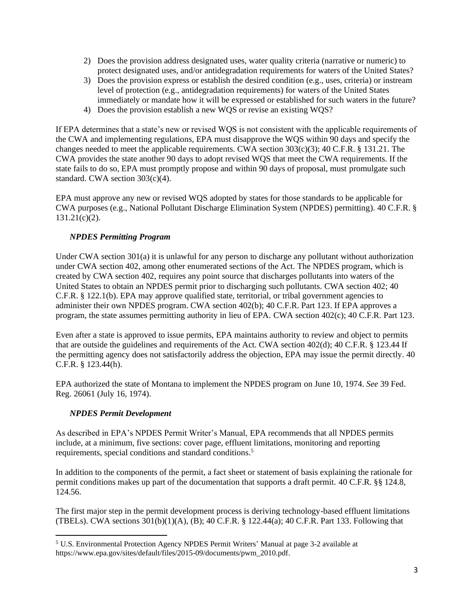- 2) Does the provision address designated uses, water quality criteria (narrative or numeric) to protect designated uses, and/or antidegradation requirements for waters of the United States?
- 3) Does the provision express or establish the desired condition (e.g., uses, criteria) or instream level of protection (e.g., antidegradation requirements) for waters of the United States immediately or mandate how it will be expressed or established for such waters in the future?
- 4) Does the provision establish a new WQS or revise an existing WQS?

If EPA determines that a state's new or revised WQS is not consistent with the applicable requirements of the CWA and implementing regulations, EPA must disapprove the WQS within 90 days and specify the changes needed to meet the applicable requirements. CWA section 303(c)(3); 40 C.F.R. § 131.21. The CWA provides the state another 90 days to adopt revised WQS that meet the CWA requirements. If the state fails to do so, EPA must promptly propose and within 90 days of proposal, must promulgate such standard. CWA section 303(c)(4).

EPA must approve any new or revised WQS adopted by states for those standards to be applicable for CWA purposes (e.g., National Pollutant Discharge Elimination System (NPDES) permitting). 40 C.F.R. § 131.21(c)(2).

## *NPDES Permitting Program*

Under CWA section 301(a) it is unlawful for any person to discharge any pollutant without authorization under CWA section 402, among other enumerated sections of the Act. The NPDES program, which is created by CWA section 402, requires any point source that discharges pollutants into waters of the United States to obtain an NPDES permit prior to discharging such pollutants. CWA section 402; 40 C.F.R. § 122.1(b). EPA may approve qualified state, territorial, or tribal government agencies to administer their own NPDES program. CWA section 402(b); 40 C.F.R. Part 123. If EPA approves a program, the state assumes permitting authority in lieu of EPA. CWA section 402(c); 40 C.F.R. Part 123.

Even after a state is approved to issue permits, EPA maintains authority to review and object to permits that are outside the guidelines and requirements of the Act. CWA section 402(d); 40 C.F.R. § 123.44 If the permitting agency does not satisfactorily address the objection, EPA may issue the permit directly. 40 C.F.R. § 123.44(h).

EPA authorized the state of Montana to implement the NPDES program on June 10, 1974. *See* 39 Fed. Reg. 26061 (July 16, 1974).

## *NPDES Permit Development*

As described in EPA's NPDES Permit Writer's Manual, EPA recommends that all NPDES permits include, at a minimum, five sections: cover page, effluent limitations, monitoring and reporting requirements, special conditions and standard conditions. 5

In addition to the components of the permit, a fact sheet or statement of basis explaining the rationale for permit conditions makes up part of the documentation that supports a draft permit. 40 C.F.R. §§ 124.8, 124.56.

The first major step in the permit development process is deriving technology-based effluent limitations (TBELs). CWA sections  $301(b)(1)(A)$ , (B); 40 C.F.R. § 122.44(a); 40 C.F.R. Part 133. Following that

<sup>5</sup> U.S. Environmental Protection Agency NPDES Permit Writers' Manual at page 3-2 available at https://www.epa.gov/sites/default/files/2015-09/documents/pwm\_2010.pdf.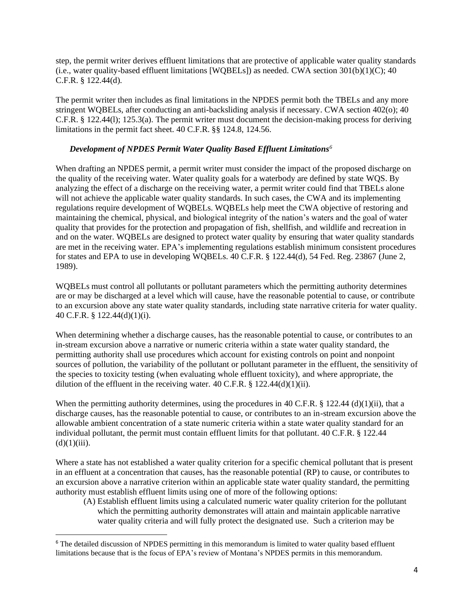step, the permit writer derives effluent limitations that are protective of applicable water quality standards (i.e., water quality-based effluent limitations [WQBELs]) as needed. CWA section 301(b)(1)(C); 40 C.F.R. § 122.44(d)*.*

The permit writer then includes as final limitations in the NPDES permit both the TBELs and any more stringent WQBELs, after conducting an anti-backsliding analysis if necessary. CWA section 402(o); 40 C.F.R. § 122.44(l); 125.3(a). The permit writer must document the decision-making process for deriving limitations in the permit fact sheet. 40 C.F.R. §§ 124.8, 124.56.

#### *Development of NPDES Permit Water Quality Based Effluent Limitations<sup>6</sup>*

When drafting an NPDES permit, a permit writer must consider the impact of the proposed discharge on the quality of the receiving water. Water quality goals for a waterbody are defined by state WQS. By analyzing the effect of a discharge on the receiving water, a permit writer could find that TBELs alone will not achieve the applicable water quality standards. In such cases, the CWA and its implementing regulations require development of WQBELs. WQBELs help meet the CWA objective of restoring and maintaining the chemical, physical, and biological integrity of the nation's waters and the goal of water quality that provides for the protection and propagation of fish, shellfish, and wildlife and recreation in and on the water. WQBELs are designed to protect water quality by ensuring that water quality standards are met in the receiving water. EPA's implementing regulations establish minimum consistent procedures for states and EPA to use in developing WQBELs. 40 C.F.R. § 122.44(d), 54 Fed. Reg. 23867 (June 2, 1989).

WQBELs must control all pollutants or pollutant parameters which the permitting authority determines are or may be discharged at a level which will cause, have the reasonable potential to cause, or contribute to an excursion above any state water quality standards, including state narrative criteria for water quality. 40 C.F.R. § 122.44(d)(1)(i).

When determining whether a discharge causes, has the reasonable potential to cause, or contributes to an in-stream excursion above a narrative or numeric criteria within a state water quality standard, the permitting authority shall use procedures which account for existing controls on point and nonpoint sources of pollution, the variability of the pollutant or pollutant parameter in the effluent, the sensitivity of the species to toxicity testing (when evaluating whole effluent toxicity), and where appropriate, the dilution of the effluent in the receiving water.  $40$  C.F.R. § 122.44(d)(1)(ii).

When the [permitting](https://www.law.cornell.edu/definitions/index.php?width=840&height=800&iframe=true&def_id=1247a46c06f3b4f33e37b3746382ff6e&term_occur=999&term_src=Title:40:Chapter:I:Subchapter:D:Part:122:Subpart:C:122.44) authority determines, using the procedures in [40 C.F.R. § 122.44](https://www.law.cornell.edu/cfr/text/40/122.44#d_1_ii) (d)(1)(ii), that a discharge causes, has the reasonable potential to cause, or contributes to an in-stream excursion above the allowable ambient concentration of a [state](https://www.law.cornell.edu/definitions/index.php?width=840&height=800&iframe=true&def_id=02f3388cbddab8d1c8b68bc12f7066f2&term_occur=999&term_src=Title:40:Chapter:I:Subchapter:D:Part:122:Subpart:C:122.44) numeric criteria within a [state](https://www.law.cornell.edu/definitions/index.php?width=840&height=800&iframe=true&def_id=02f3388cbddab8d1c8b68bc12f7066f2&term_occur=999&term_src=Title:40:Chapter:I:Subchapter:D:Part:122:Subpart:C:122.44) water quality standard for an individual [pollutant,](https://www.law.cornell.edu/definitions/index.php?width=840&height=800&iframe=true&def_id=fa8885ae1d2b4b0a61333feed8d15bc6&term_occur=999&term_src=Title:40:Chapter:I:Subchapter:D:Part:122:Subpart:C:122.44) the [permit](https://www.law.cornell.edu/definitions/index.php?width=840&height=800&iframe=true&def_id=1247a46c06f3b4f33e37b3746382ff6e&term_occur=999&term_src=Title:40:Chapter:I:Subchapter:D:Part:122:Subpart:C:122.44) must contain effluent limits for that [pollutant.](https://www.law.cornell.edu/definitions/index.php?width=840&height=800&iframe=true&def_id=fa8885ae1d2b4b0a61333feed8d15bc6&term_occur=999&term_src=Title:40:Chapter:I:Subchapter:D:Part:122:Subpart:C:122.44) [40 C.F.R. § 122.44](https://www.law.cornell.edu/cfr/text/40/122.44#d_1_ii)  $(d)(1)(iii)$ .

Where a state has not established a water quality criterion for a specific chemical pollutant that is present in an effluent at a concentration that causes, has the reasonable potential (RP) to cause, or contributes to an excursion above a narrative criterion within an applicable state water quality standard, the permitting authority must establish effluent limits using one of more of the following options:

(A) Establish effluent limits using a calculated numeric water quality criterion for the pollutant which the permitting authority demonstrates will attain and maintain applicable narrative water quality criteria and will fully protect the designated use. Such a criterion may be

<sup>&</sup>lt;sup>6</sup> The detailed discussion of NPDES permitting in this memorandum is limited to water quality based effluent limitations because that is the focus of EPA's review of Montana's NPDES permits in this memorandum.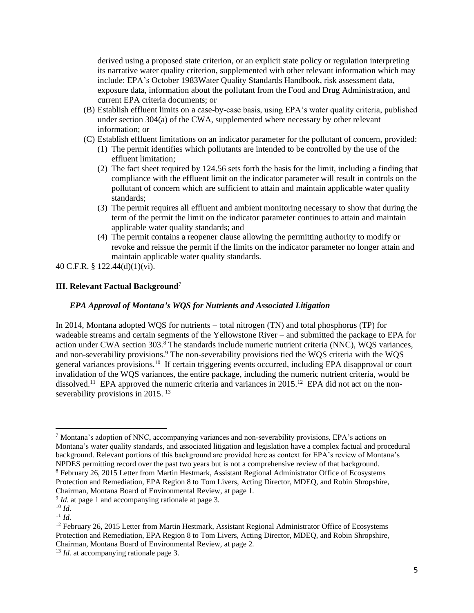derived using a proposed state criterion, or an explicit state policy or regulation interpreting its narrative water quality criterion, supplemented with other relevant information which may include: EPA's October 1983Water Quality Standards Handbook, risk assessment data, exposure data, information about the pollutant from the Food and Drug Administration, and current EPA criteria documents; or

- (B) Establish effluent limits on a case-by-case basis, using EPA's water quality criteria, published under section 304(a) of the CWA, supplemented where necessary by other relevant information; or
- (C) Establish effluent limitations on an indicator parameter for the pollutant of concern, provided: (1) The permit identifies which pollutants are intended to be controlled by the use of the effluent limitation;
	- (2) The fact sheet required by 124.56 sets forth the basis for the limit, including a finding that compliance with the effluent limit on the indicator parameter will result in controls on the pollutant of concern which are sufficient to attain and maintain applicable water quality standards;
	- (3) The permit requires all effluent and ambient monitoring necessary to show that during the term of the permit the limit on the indicator parameter continues to attain and maintain applicable water quality standards; and
	- (4) The permit contains a reopener clause allowing the permitting authority to modify or revoke and reissue the permit if the limits on the indicator parameter no longer attain and maintain applicable water quality standards.

40 C.F.R. § 122.44(d)(1)(vi).

#### **III. Relevant Factual Background**<sup>7</sup>

#### *EPA Approval of Montana's WQS for Nutrients and Associated Litigation*

In 2014, Montana adopted WQS for nutrients – total nitrogen (TN) and total phosphorus (TP) for wadeable streams and certain segments of the Yellowstone River – and submitted the package to EPA for action under CWA section 303.<sup>8</sup> The standards include numeric nutrient criteria (NNC), WQS variances, and non-severability provisions.<sup>9</sup> The non-severability provisions tied the WQS criteria with the WQS general variances provisions.<sup>10</sup> If certain triggering events occurred, including EPA disapproval or court invalidation of the WQS variances, the entire package, including the numeric nutrient criteria, would be dissolved.<sup>11</sup> EPA approved the numeric criteria and variances in 2015.<sup>12</sup> EPA did not act on the nonseverability provisions in 2015.<sup>13</sup>

<sup>7</sup> Montana's adoption of NNC, accompanying variances and non-severability provisions, EPA's actions on Montana's water quality standards, and associated litigation and legislation have a complex factual and procedural background. Relevant portions of this background are provided here as context for EPA's review of Montana's NPDES permitting record over the past two years but is not a comprehensive review of that background. <sup>8</sup> February 26, 2015 Letter from Martin Hestmark, Assistant Regional Administrator Office of Ecosystems

Protection and Remediation, EPA Region 8 to Tom Livers, Acting Director, MDEQ, and Robin Shropshire, Chairman, Montana Board of Environmental Review, at page 1.

<sup>&</sup>lt;sup>9</sup> *Id*. at page 1 and accompanying rationale at page 3.

 $10$  *Id.* 

<sup>11</sup> *Id.*

<sup>&</sup>lt;sup>12</sup> February 26, 2015 Letter from Martin Hestmark, Assistant Regional Administrator Office of Ecosystems Protection and Remediation, EPA Region 8 to Tom Livers, Acting Director, MDEQ, and Robin Shropshire, Chairman, Montana Board of Environmental Review, at page 2.

<sup>&</sup>lt;sup>13</sup> *Id.* at accompanying rationale page 3.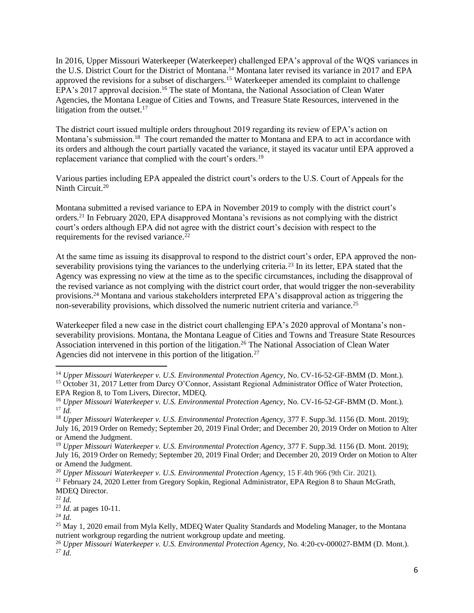In 2016, Upper Missouri Waterkeeper (Waterkeeper) challenged EPA's approval of the WQS variances in the U.S. District Court for the District of Montana. <sup>14</sup> Montana later revised its variance in 2017 and EPA approved the revisions for a subset of dischargers.<sup>15</sup> Waterkeeper amended its complaint to challenge EPA's 2017 approval decision.<sup>16</sup> The state of Montana, the National Association of Clean Water Agencies, the Montana League of Cities and Towns, and Treasure State Resources, intervened in the litigation from the outset. $17$ 

The district court issued multiple orders throughout 2019 regarding its review of EPA's action on Montana's submission.<sup>18</sup> The court remanded the matter to Montana and EPA to act in accordance with its orders and although the court partially vacated the variance, it stayed its vacatur until EPA approved a replacement variance that complied with the court's orders.<sup>19</sup>

Various parties including EPA appealed the district court's orders to the U.S. Court of Appeals for the Ninth Circuit.<sup>20</sup>

Montana submitted a revised variance to EPA in November 2019 to comply with the district court's orders.<sup>21</sup> In February 2020, EPA disapproved Montana's revisions as not complying with the district court's orders although EPA did not agree with the district court's decision with respect to the requirements for the revised variance.<sup>22</sup>

At the same time as issuing its disapproval to respond to the district court's order, EPA approved the nonseverability provisions tying the variances to the underlying criteria.<sup>23</sup> In its letter, EPA stated that the Agency was expressing no view at the time as to the specific circumstances, including the disapproval of the revised variance as not complying with the district court order, that would trigger the non-severability provisions.<sup>24</sup> Montana and various stakeholders interpreted EPA's disapproval action as triggering the non-severability provisions, which dissolved the numeric nutrient criteria and variance.<sup>25</sup>

Waterkeeper filed a new case in the district court challenging EPA's 2020 approval of Montana's nonseverability provisions. Montana, the Montana League of Cities and Towns and Treasure State Resources Association intervened in this portion of the litigation.<sup>26</sup> The National Association of Clean Water Agencies did not intervene in this portion of the litigation.<sup>27</sup>

<sup>14</sup> *Upper Missouri Waterkeeper v. U.S. Environmental Protection Agency,* No. CV-16-52-GF-BMM (D. Mont.). <sup>15</sup> October 31, 2017 Letter from Darcy O'Connor, Assistant Regional Administrator Office of Water Protection, EPA Region 8, to Tom Livers, Director, MDEQ.

<sup>16</sup> *Upper Missouri Waterkeeper v. U.S. Environmental Protection Agency,* No. CV-16-52-GF-BMM (D. Mont.). <sup>17</sup> *Id.*

<sup>18</sup> *Upper Missouri Waterkeeper v. U.S. Environmental Protection Agency,* 377 F. Supp.3d. 1156 (D. Mont. 2019); July 16, 2019 Order on Remedy; September 20, 2019 Final Order; and December 20, 2019 Order on Motion to Alter or Amend the Judgment.

<sup>19</sup> *Upper Missouri Waterkeeper v. U.S. Environmental Protection Agency,* 377 F. Supp.3d. 1156 (D. Mont. 2019); July 16, 2019 Order on Remedy; September 20, 2019 Final Order; and December 20, 2019 Order on Motion to Alter or Amend the Judgment.

<sup>&</sup>lt;sup>20</sup> *Upper Missouri Waterkeeper v. U.S. Environmental Protection Agency, 15 F.4th 966 (9th Cir. 2021).* 

<sup>&</sup>lt;sup>21</sup> February 24, 2020 Letter from Gregory Sopkin, Regional Administrator, EPA Region 8 to Shaun McGrath, MDEQ Director.

<sup>22</sup> *Id.*

<sup>23</sup> *Id.* at pages 10-11.

<sup>24</sup> *Id.*

<sup>&</sup>lt;sup>25</sup> May 1, 2020 email from Myla Kelly, MDEQ Water Quality Standards and Modeling Manager, to the Montana nutrient workgroup regarding the nutrient workgroup update and meeting.

<sup>26</sup> *Upper Missouri Waterkeeper v. U.S. Environmental Protection Agency,* No. 4:20-cv-000027-BMM (D. Mont.). <sup>27</sup> *Id*.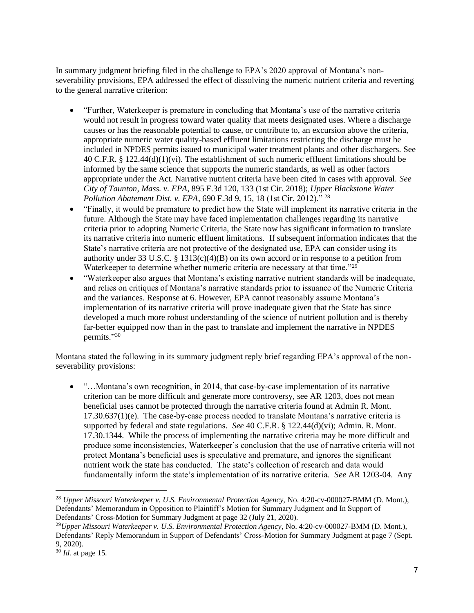In summary judgment briefing filed in the challenge to EPA's 2020 approval of Montana's nonseverability provisions, EPA addressed the effect of dissolving the numeric nutrient criteria and reverting to the general narrative criterion:

- "Further, Waterkeeper is premature in concluding that Montana's use of the narrative criteria would not result in progress toward water quality that meets designated uses. Where a discharge causes or has the reasonable potential to cause, or contribute to, an excursion above the criteria, appropriate numeric water quality-based effluent limitations restricting the discharge must be included in NPDES permits issued to municipal water treatment plants and other dischargers. See 40 C.F.R. § 122.44(d)(1)(vi). The establishment of such numeric effluent limitations should be informed by the same science that supports the numeric standards, as well as other factors appropriate under the Act. Narrative nutrient criteria have been cited in cases with approval. *See City of Taunton, Mass. v. EPA*, 895 F.3d 120, 133 (1st Cir. 2018); *Upper Blackstone Water Pollution Abatement Dist. v. EPA*, 690 F.3d 9, 15, 18 (1st Cir. 2012)." <sup>28</sup>
- "Finally, it would be premature to predict how the State will implement its narrative criteria in the future. Although the State may have faced implementation challenges regarding its narrative criteria prior to adopting Numeric Criteria, the State now has significant information to translate its narrative criteria into numeric effluent limitations. If subsequent information indicates that the State's narrative criteria are not protective of the designated use, EPA can consider using its authority under 33 U.S.C. § 1313(c)(4)(B) on its own accord or in response to a petition from Waterkeeper to determine whether numeric criteria are necessary at that time."<sup>29</sup>
- "Waterkeeper also argues that Montana's existing narrative nutrient standards will be inadequate, and relies on critiques of Montana's narrative standards prior to issuance of the Numeric Criteria and the variances. Response at 6. However, EPA cannot reasonably assume Montana's implementation of its narrative criteria will prove inadequate given that the State has since developed a much more robust understanding of the science of nutrient pollution and is thereby far-better equipped now than in the past to translate and implement the narrative in NPDES permits." 30

Montana stated the following in its summary judgment reply brief regarding EPA's approval of the nonseverability provisions:

• "...Montana's own recognition, in 2014, that case-by-case implementation of its narrative criterion can be more difficult and generate more controversy, see AR 1203, does not mean beneficial uses cannot be protected through the narrative criteria found at Admin R. Mont. 17.30.637(1)(e). The case-by-case process needed to translate Montana's narrative criteria is supported by federal and state regulations. *See* 40 C.F.R. § 122.44(d)(vi); Admin. R. Mont. 17.30.1344. While the process of implementing the narrative criteria may be more difficult and produce some inconsistencies, Waterkeeper's conclusion that the use of narrative criteria will not protect Montana's beneficial uses is speculative and premature, and ignores the significant nutrient work the state has conducted. The state's collection of research and data would fundamentally inform the state's implementation of its narrative criteria. *See* AR 1203-04. Any

<sup>28</sup> *Upper Missouri Waterkeeper v. U.S. Environmental Protection Agency,* No. 4:20-cv-000027-BMM (D. Mont.), Defendants' Memorandum in Opposition to Plaintiff's Motion for Summary Judgment and In Support of Defendants' Cross-Motion for Summary Judgment at page 32 (July 21, 2020).

<sup>29</sup>*Upper Missouri Waterkeeper v. U.S. Environmental Protection Agency,* No. 4:20-cv-000027-BMM (D. Mont.), Defendants' Reply Memorandum in Support of Defendants' Cross-Motion for Summary Judgment at page 7 (Sept. 9, 2020).

<sup>30</sup> *Id.* at page 15.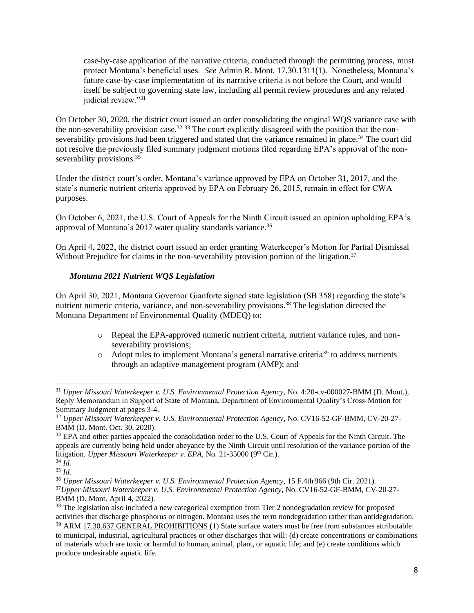case-by-case application of the narrative criteria, conducted through the permitting process, must protect Montana's beneficial uses. *See* Admin R. Mont. 17.30.1311(1). Nonetheless, Montana's future case-by-case implementation of its narrative criteria is not before the Court, and would itself be subject to governing state law, including all permit review procedures and any related judicial review."31

On October 30, 2020, the district court issued an order consolidating the original WQS variance case with the non-severability provision case.<sup>32 33</sup> The court explicitly disagreed with the position that the nonseverability provisions had been triggered and stated that the variance remained in place.<sup>34</sup> The court did not resolve the previously filed summary judgment motions filed regarding EPA's approval of the nonseverability provisions.<sup>35</sup>

Under the district court's order, Montana's variance approved by EPA on October 31, 2017, and the state's numeric nutrient criteria approved by EPA on February 26, 2015, remain in effect for CWA purposes.

On October 6, 2021, the U.S. Court of Appeals for the Ninth Circuit issued an opinion upholding EPA's approval of Montana's 2017 water quality standards variance.<sup>36</sup>

On April 4, 2022, the district court issued an order granting Waterkeeper's Motion for Partial Dismissal Without Prejudice for claims in the non-severability provision portion of the litigation.<sup>37</sup>

#### *Montana 2021 Nutrient WQS Legislation*

On April 30, 2021, Montana Governor Gianforte signed state legislation (SB 358) regarding the state's nutrient numeric criteria, variance, and non-severability provisions.<sup>38</sup> The legislation directed the Montana Department of Environmental Quality (MDEQ) to:

- o Repeal the EPA-approved numeric nutrient criteria, nutrient variance rules, and nonseverability provisions;
- $\circ$  Adopt rules to implement Montana's general narrative criteria<sup>39</sup> to address nutrients through an adaptive management program (AMP); and

<sup>31</sup> *Upper Missouri Waterkeeper v. U.S. Environmental Protection Agency,* No. 4:20-cv-000027-BMM (D. Mont.), Reply Memorandum in Support of State of Montana, Department of Environmental Quality's Cross-Motion for Summary Judgment at pages 3-4.

<sup>32</sup> *Upper Missouri Waterkeeper v. U.S. Environmental Protection Agency*, No. CV16-52-GF-BMM, CV-20-27- BMM (D. Mont. Oct. 30, 2020).

<sup>&</sup>lt;sup>33</sup> EPA and other parties appealed the consolidation order to the U.S. Court of Appeals for the Ninth Circuit. The appeals are currently being held under abeyance by the Ninth Circuit until resolution of the variance portion of the litigation. Upper Missouri Waterkeeper v. EPA, No. 21-35000 (9<sup>th</sup> Cir.).  $34 \overline{Id}$ .

<sup>35</sup> *Id.*

<sup>36</sup> *Upper Missouri Waterkeeper v. U.S. Environmental Protection Agency*, 15 F.4th 966 (9th Cir. 2021). <sup>37</sup>*Upper Missouri Waterkeeper v. U.S. Environmental Protection Agency*, No. CV16-52-GF-BMM, CV-20-27- BMM (D. Mont. April 4, 2022).

<sup>&</sup>lt;sup>38</sup> The legislation also included a new categorical exemption from Tier 2 nondegradation review for proposed activities that discharge phosphorus or nitrogen. Montana uses the term nondegradation rather than antidegradation.

<sup>&</sup>lt;sup>39</sup> ARM [17.30.637](http://www.mtrules.org/gateway/ruleno.asp?RN=17%2E30%2E637) GENERAL PROHIBITIONS (1) State surface waters must be free from substances attributable to municipal, industrial, agricultural practices or other discharges that will: (d) create concentrations or combinations of materials which are toxic or harmful to human, animal, plant, or aquatic life; and (e) create conditions which produce undesirable aquatic life.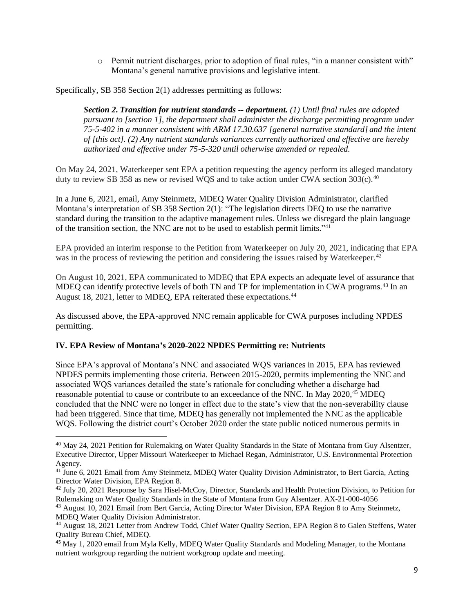o Permit nutrient discharges, prior to adoption of final rules, "in a manner consistent with" Montana's general narrative provisions and legislative intent.

Specifically, SB 358 Section 2(1) addresses permitting as follows:

*Section 2. Transition for nutrient standards -- department. (1) Until final rules are adopted pursuant to [section 1], the department shall administer the discharge permitting program under 75-5-402 in a manner consistent with ARM 17.30.637 [general narrative standard] and the intent of [this act]. (2) Any nutrient standards variances currently authorized and effective are hereby authorized and effective under 75-5-320 until otherwise amended or repealed.*

On May 24, 2021, Waterkeeper sent EPA a petition requesting the agency perform its alleged mandatory duty to review SB 358 as new or revised WQS and to take action under CWA section 303(c).<sup>40</sup>

In a June 6, 2021, email, Amy Steinmetz, MDEQ Water Quality Division Administrator, clarified Montana's interpretation of SB 358 Section 2(1): "The legislation directs DEQ to use the narrative standard during the transition to the adaptive management rules. Unless we disregard the plain language of the transition section, the NNC are not to be used to establish permit limits."<sup>41</sup>

EPA provided an interim response to the Petition from Waterkeeper on July 20, 2021, indicating that EPA was in the process of reviewing the petition and considering the issues raised by Waterkeeper.<sup>42</sup>

On August 10, 2021, EPA communicated to MDEQ that EPA expects an adequate level of assurance that MDEQ can identify protective levels of both TN and TP for implementation in CWA programs.<sup>43</sup> In an August 18, 2021, letter to MDEQ, EPA reiterated these expectations. 44

As discussed above, the EPA-approved NNC remain applicable for CWA purposes including NPDES permitting.

## **IV. EPA Review of Montana's 2020-2022 NPDES Permitting re: Nutrients**

Since EPA's approval of Montana's NNC and associated WQS variances in 2015, EPA has reviewed NPDES permits implementing those criteria. Between 2015-2020, permits implementing the NNC and associated WQS variances detailed the state's rationale for concluding whether a discharge had reasonable potential to cause or contribute to an exceedance of the NNC. In May 2020,<sup>45</sup> MDEO concluded that the NNC were no longer in effect due to the state's view that the non-severability clause had been triggered. Since that time, MDEQ has generally not implemented the NNC as the applicable WQS. Following the district court's October 2020 order the state public noticed numerous permits in

<sup>40</sup> May 24, 2021 Petition for Rulemaking on Water Quality Standards in the State of Montana from Guy Alsentzer, Executive Director, Upper Missouri Waterkeeper to Michael Regan, Administrator, U.S. Environmental Protection Agency.

<sup>&</sup>lt;sup>41</sup> June 6, 2021 Email from Amy Steinmetz, MDEO Water Ouality Division Administrator, to Bert Garcia, Acting Director Water Division, EPA Region 8.

<sup>42</sup> July 20, 2021 Response by Sara Hisel-McCoy, Director, Standards and Health Protection Division, to Petition for Rulemaking on Water Quality Standards in the State of Montana from Guy Alsentzer. AX-21-000-4056

<sup>43</sup> August 10, 2021 Email from Bert Garcia, Acting Director Water Division, EPA Region 8 to Amy Steinmetz, MDEQ Water Quality Division Administrator.

<sup>44</sup> August 18, 2021 Letter from Andrew Todd, Chief Water Quality Section, EPA Region 8 to Galen Steffens, Water Quality Bureau Chief, MDEQ.

<sup>45</sup> May 1, 2020 email from Myla Kelly, MDEQ Water Quality Standards and Modeling Manager, to the Montana nutrient workgroup regarding the nutrient workgroup update and meeting.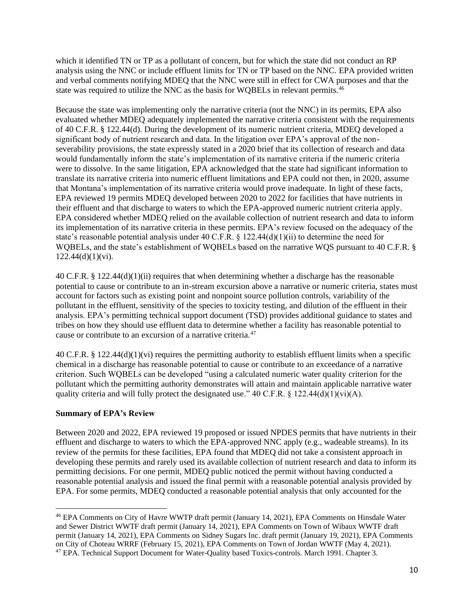which it identified TN or TP as a pollutant of concern, but for which the state did not conduct an RP analysis using the NNC or include effluent limits for TN or TP based on the NNC. EPA provided written and verbal comments notifying MDEQ that the NNC were still in effect for CWA purposes and that the state was required to utilize the NNC as the basis for WOBELs in relevant permits.<sup>46</sup>

Because the state was implementing only the narrative criteria (not the NNC) in its permits, EPA also evaluated whether MDEQ adequately implemented the narrative criteria consistent with the requirements of 40 C.F.R. § 122.44(d). During the development of its numeric nutrient criteria, MDEQ developed a significant body of nutrient research and data. In the litigation over EPA's approval of the nonseverability provisions, the state expressly stated in a 2020 brief that its collection of research and data would fundamentally inform the state's implementation of its narrative criteria if the numeric criteria were to dissolve. In the same litigation, EPA acknowledged that the state had significant information to translate its narrative criteria into numeric effluent limitations and EPA could not then, in 2020, assume that Montana's implementation of its narrative criteria would prove inadequate. In light of these facts, EPA reviewed 19 permits MDEQ developed between 2020 to 2022 for facilities that have nutrients in their effluent and that discharge to waters to which the EPA-approved numeric nutrient criteria apply. EPA considered whether MDEQ relied on the available collection of nutrient research and data to inform its implementation of its narrative criteria in these permits. EPA's review focused on the adequacy of the state's reasonable potential analysis under 40 C.F.R.  $\S$  122.44(d)(1)(ii) to determine the need for WQBELs, and the state's establishment of WQBELs based on the narrative WQS pursuant to 40 C.F.R. §  $122.44(d)(1)(vi)$ .

40 C.F.R. § 122.44(d)(1)(ii) requires that when determining whether a discharge has the reasonable potential to cause or contribute to an in-stream excursion above a narrative or numeric criteria, states must account for factors such as existing point and nonpoint source pollution controls, variability of the pollutant in the effluent, sensitivity of the species to toxicity testing, and dilution of the effluent in their analysis. EPA's permitting technical support document (TSD) provides additional guidance to states and tribes on how they should use effluent data to determine whether a facility has reasonable potential to cause or contribute to an excursion of a narrative criteria.<sup>47</sup>

40 C.F.R. § 122.44(d)(1)(vi) requires the permitting authority to establish effluent limits when a specific chemical in a discharge has reasonable potential to cause or contribute to an exceedance of a narrative criterion. Such WQBELs can be developed "using a calculated numeric water quality criterion for the pollutant which the permitting authority demonstrates will attain and maintain applicable narrative water quality criteria and will fully protect the designated use." 40 C.F.R.  $\S$  122.44(d)(1)(vi)(A).

#### **Summary of EPA's Review**

Between 2020 and 2022, EPA reviewed 19 proposed or issued NPDES permits that have nutrients in their effluent and discharge to waters to which the EPA-approved NNC apply (e.g., wadeable streams). In its review of the permits for these facilities, EPA found that MDEQ did not take a consistent approach in developing these permits and rarely used its available collection of nutrient research and data to inform its permitting decisions. For one permit, MDEQ public noticed the permit without having conducted a reasonable potential analysis and issued the final permit with a reasonable potential analysis provided by EPA. For some permits, MDEQ conducted a reasonable potential analysis that only accounted for the

<sup>46</sup> EPA Comments on City of Havre WWTP draft permit (January 14, 2021), EPA Comments on Hinsdale Water and Sewer District WWTF draft permit (January 14, 2021), EPA Comments on Town of Wibaux WWTF draft permit (January 14, 2021), EPA Comments on Sidney Sugars Inc. draft permit (January 19, 2021), EPA Comments on City of Choteau WRRF (February 15, 2021), EPA Comments on Town of Jordan WWTF (May 4, 2021). <sup>47</sup> EPA. Technical Support Document for Water-Quality based Toxics-controls. March 1991. Chapter 3.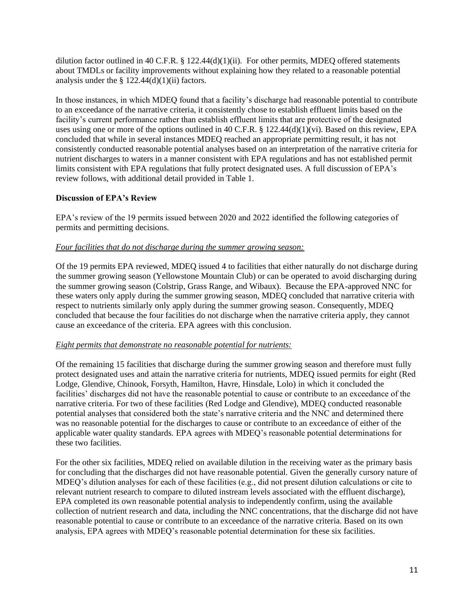dilution factor outlined in 40 C.F.R. §  $122.44(d)(1)(ii)$ . For other permits, MDEO offered statements about TMDLs or facility improvements without explaining how they related to a reasonable potential analysis under the  $\S$  122.44(d)(1)(ii) factors.

In those instances, in which MDEQ found that a facility's discharge had reasonable potential to contribute to an exceedance of the narrative criteria, it consistently chose to establish effluent limits based on the facility's current performance rather than establish effluent limits that are protective of the designated uses using one or more of the options outlined in 40 C.F.R. § 122.44(d)(1)(vi). Based on this review, EPA concluded that while in several instances MDEQ reached an appropriate permitting result, it has not consistently conducted reasonable potential analyses based on an interpretation of the narrative criteria for nutrient discharges to waters in a manner consistent with EPA regulations and has not established permit limits consistent with EPA regulations that fully protect designated uses. A full discussion of EPA's review follows, with additional detail provided in Table 1.

#### **Discussion of EPA's Review**

EPA's review of the 19 permits issued between 2020 and 2022 identified the following categories of permits and permitting decisions.

#### *Four facilities that do not discharge during the summer growing season:*

Of the 19 permits EPA reviewed, MDEQ issued 4 to facilities that either naturally do not discharge during the summer growing season (Yellowstone Mountain Club) or can be operated to avoid discharging during the summer growing season (Colstrip, Grass Range, and Wibaux). Because the EPA-approved NNC for these waters only apply during the summer growing season, MDEQ concluded that narrative criteria with respect to nutrients similarly only apply during the summer growing season. Consequently, MDEQ concluded that because the four facilities do not discharge when the narrative criteria apply, they cannot cause an exceedance of the criteria. EPA agrees with this conclusion.

#### *Eight permits that demonstrate no reasonable potential for nutrients:*

Of the remaining 15 facilities that discharge during the summer growing season and therefore must fully protect designated uses and attain the narrative criteria for nutrients, MDEQ issued permits for eight (Red Lodge, Glendive, Chinook, Forsyth, Hamilton, Havre, Hinsdale, Lolo) in which it concluded the facilities' discharges did not have the reasonable potential to cause or contribute to an exceedance of the narrative criteria. For two of these facilities (Red Lodge and Glendive), MDEQ conducted reasonable potential analyses that considered both the state's narrative criteria and the NNC and determined there was no reasonable potential for the discharges to cause or contribute to an exceedance of either of the applicable water quality standards. EPA agrees with MDEQ's reasonable potential determinations for these two facilities.

For the other six facilities, MDEQ relied on available dilution in the receiving water as the primary basis for concluding that the discharges did not have reasonable potential. Given the generally cursory nature of MDEQ's dilution analyses for each of these facilities (e.g., did not present dilution calculations or cite to relevant nutrient research to compare to diluted instream levels associated with the effluent discharge), EPA completed its own reasonable potential analysis to independently confirm, using the available collection of nutrient research and data, including the NNC concentrations, that the discharge did not have reasonable potential to cause or contribute to an exceedance of the narrative criteria. Based on its own analysis, EPA agrees with MDEQ's reasonable potential determination for these six facilities.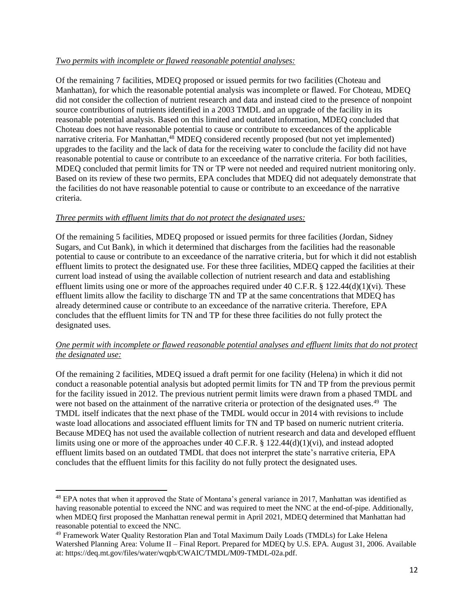#### *Two permits with incomplete or flawed reasonable potential analyses:*

Of the remaining 7 facilities, MDEQ proposed or issued permits for two facilities (Choteau and Manhattan), for which the reasonable potential analysis was incomplete or flawed. For Choteau, MDEQ did not consider the collection of nutrient research and data and instead cited to the presence of nonpoint source contributions of nutrients identified in a 2003 TMDL and an upgrade of the facility in its reasonable potential analysis. Based on this limited and outdated information, MDEQ concluded that Choteau does not have reasonable potential to cause or contribute to exceedances of the applicable narrative criteria. For Manhattan,<sup>48</sup> MDEQ considered recently proposed (but not yet implemented) upgrades to the facility and the lack of data for the receiving water to conclude the facility did not have reasonable potential to cause or contribute to an exceedance of the narrative criteria. For both facilities, MDEQ concluded that permit limits for TN or TP were not needed and required nutrient monitoring only. Based on its review of these two permits, EPA concludes that MDEQ did not adequately demonstrate that the facilities do not have reasonable potential to cause or contribute to an exceedance of the narrative criteria.

#### *Three permits with effluent limits that do not protect the designated uses:*

Of the remaining 5 facilities, MDEQ proposed or issued permits for three facilities (Jordan, Sidney Sugars, and Cut Bank), in which it determined that discharges from the facilities had the reasonable potential to cause or contribute to an exceedance of the narrative criteria, but for which it did not establish effluent limits to protect the designated use. For these three facilities, MDEQ capped the facilities at their current load instead of using the available collection of nutrient research and data and establishing effluent limits using one or more of the approaches required under 40 C.F.R.  $\S$  122.44(d)(1)(vi). These effluent limits allow the facility to discharge TN and TP at the same concentrations that MDEQ has already determined cause or contribute to an exceedance of the narrative criteria. Therefore, EPA concludes that the effluent limits for TN and TP for these three facilities do not fully protect the designated uses.

## *One permit with incomplete or flawed reasonable potential analyses and effluent limits that do not protect the designated use:*

Of the remaining 2 facilities, MDEQ issued a draft permit for one facility (Helena) in which it did not conduct a reasonable potential analysis but adopted permit limits for TN and TP from the previous permit for the facility issued in 2012. The previous nutrient permit limits were drawn from a phased TMDL and were not based on the attainment of the narrative criteria or protection of the designated uses.<sup>49</sup> The TMDL itself indicates that the next phase of the TMDL would occur in 2014 with revisions to include waste load allocations and associated effluent limits for TN and TP based on numeric nutrient criteria. Because MDEQ has not used the available collection of nutrient research and data and developed effluent limits using one or more of the approaches under 40 C.F.R. § 122.44(d)(1)(vi), and instead adopted effluent limits based on an outdated TMDL that does not interpret the state's narrative criteria, EPA concludes that the effluent limits for this facility do not fully protect the designated uses.

<sup>&</sup>lt;sup>48</sup> EPA notes that when it approved the State of Montana's general variance in 2017, Manhattan was identified as having reasonable potential to exceed the NNC and was required to meet the NNC at the end-of-pipe. Additionally, when MDEQ first proposed the Manhattan renewal permit in April 2021, MDEQ determined that Manhattan had reasonable potential to exceed the NNC.

<sup>49</sup> Framework Water Quality Restoration Plan and Total Maximum Daily Loads (TMDLs) for Lake Helena Watershed Planning Area: Volume II – Final Report. Prepared for MDEQ by U.S. EPA. August 31, 2006. Available at: https://deq.mt.gov/files/water/wqpb/CWAIC/TMDL/M09-TMDL-02a.pdf.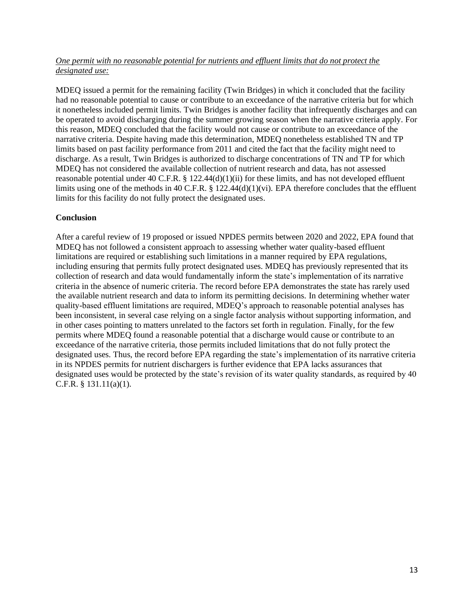#### *One permit with no reasonable potential for nutrients and effluent limits that do not protect the designated use:*

MDEQ issued a permit for the remaining facility (Twin Bridges) in which it concluded that the facility had no reasonable potential to cause or contribute to an exceedance of the narrative criteria but for which it nonetheless included permit limits. Twin Bridges is another facility that infrequently discharges and can be operated to avoid discharging during the summer growing season when the narrative criteria apply. For this reason, MDEQ concluded that the facility would not cause or contribute to an exceedance of the narrative criteria. Despite having made this determination, MDEQ nonetheless established TN and TP limits based on past facility performance from 2011 and cited the fact that the facility might need to discharge. As a result, Twin Bridges is authorized to discharge concentrations of TN and TP for which MDEQ has not considered the available collection of nutrient research and data, has not assessed reasonable potential under 40 C.F.R. § 122.44(d)(1)(ii) for these limits, and has not developed effluent limits using one of the methods in 40 C.F.R. § 122.44(d)(1)(vi). EPA therefore concludes that the effluent limits for this facility do not fully protect the designated uses.

## **Conclusion**

After a careful review of 19 proposed or issued NPDES permits between 2020 and 2022, EPA found that MDEQ has not followed a consistent approach to assessing whether water quality-based effluent limitations are required or establishing such limitations in a manner required by EPA regulations, including ensuring that permits fully protect designated uses. MDEQ has previously represented that its collection of research and data would fundamentally inform the state's implementation of its narrative criteria in the absence of numeric criteria. The record before EPA demonstrates the state has rarely used the available nutrient research and data to inform its permitting decisions. In determining whether water quality-based effluent limitations are required, MDEQ's approach to reasonable potential analyses has been inconsistent, in several case relying on a single factor analysis without supporting information, and in other cases pointing to matters unrelated to the factors set forth in regulation. Finally, for the few permits where MDEQ found a reasonable potential that a discharge would cause or contribute to an exceedance of the narrative criteria, those permits included limitations that do not fully protect the designated uses. Thus, the record before EPA regarding the state's implementation of its narrative criteria in its NPDES permits for nutrient dischargers is further evidence that EPA lacks assurances that designated uses would be protected by the state's revision of its water quality standards, as required by 40 C.F.R. § 131.11(a)(1).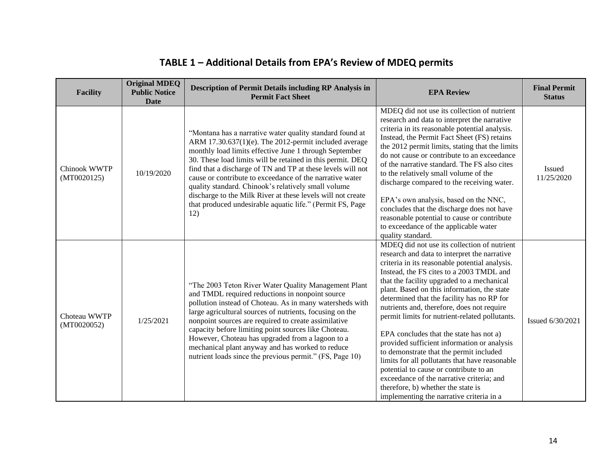| <b>Facility</b>             | <b>Original MDEQ</b><br><b>Public Notice</b><br><b>Date</b> | <b>Description of Permit Details including RP Analysis in</b><br><b>Permit Fact Sheet</b>                                                                                                                                                                                                                                                                                                                                                                                                                                                                      | <b>EPA Review</b>                                                                                                                                                                                                                                                                                                                                                                                                                                                                                                                                                                                                                                                                                                                                                                                    | <b>Final Permit</b><br><b>Status</b> |
|-----------------------------|-------------------------------------------------------------|----------------------------------------------------------------------------------------------------------------------------------------------------------------------------------------------------------------------------------------------------------------------------------------------------------------------------------------------------------------------------------------------------------------------------------------------------------------------------------------------------------------------------------------------------------------|------------------------------------------------------------------------------------------------------------------------------------------------------------------------------------------------------------------------------------------------------------------------------------------------------------------------------------------------------------------------------------------------------------------------------------------------------------------------------------------------------------------------------------------------------------------------------------------------------------------------------------------------------------------------------------------------------------------------------------------------------------------------------------------------------|--------------------------------------|
| Chinook WWTP<br>(MT0020125) | 10/19/2020                                                  | "Montana has a narrative water quality standard found at<br>ARM 17.30.637(1)(e). The 2012-permit included average<br>monthly load limits effective June 1 through September<br>30. These load limits will be retained in this permit. DEQ<br>find that a discharge of TN and TP at these levels will not<br>cause or contribute to exceedance of the narrative water<br>quality standard. Chinook's relatively small volume<br>discharge to the Milk River at these levels will not create<br>that produced undesirable aquatic life." (Permit FS, Page<br>12) | MDEQ did not use its collection of nutrient<br>research and data to interpret the narrative<br>criteria in its reasonable potential analysis.<br>Instead, the Permit Fact Sheet (FS) retains<br>the 2012 permit limits, stating that the limits<br>do not cause or contribute to an exceedance<br>of the narrative standard. The FS also cites<br>to the relatively small volume of the<br>discharge compared to the receiving water.<br>EPA's own analysis, based on the NNC,<br>concludes that the discharge does not have<br>reasonable potential to cause or contribute<br>to exceedance of the applicable water<br>quality standard.                                                                                                                                                            | <b>Issued</b><br>11/25/2020          |
| Choteau WWTP<br>(MT0020052) | 1/25/2021                                                   | "The 2003 Teton River Water Quality Management Plant<br>and TMDL required reductions in nonpoint source<br>pollution instead of Choteau. As in many watersheds with<br>large agricultural sources of nutrients, focusing on the<br>nonpoint sources are required to create assimilative<br>capacity before limiting point sources like Choteau.<br>However, Choteau has upgraded from a lagoon to a<br>mechanical plant anyway and has worked to reduce<br>nutrient loads since the previous permit." (FS, Page 10)                                            | MDEQ did not use its collection of nutrient<br>research and data to interpret the narrative<br>criteria in its reasonable potential analysis.<br>Instead, the FS cites to a 2003 TMDL and<br>that the facility upgraded to a mechanical<br>plant. Based on this information, the state<br>determined that the facility has no RP for<br>nutrients and, therefore, does not require<br>permit limits for nutrient-related pollutants.<br>EPA concludes that the state has not a)<br>provided sufficient information or analysis<br>to demonstrate that the permit included<br>limits for all pollutants that have reasonable<br>potential to cause or contribute to an<br>exceedance of the narrative criteria; and<br>therefore, b) whether the state is<br>implementing the narrative criteria in a | Issued 6/30/2021                     |

# **TABLE 1 – Additional Details from EPA's Review of MDEQ permits**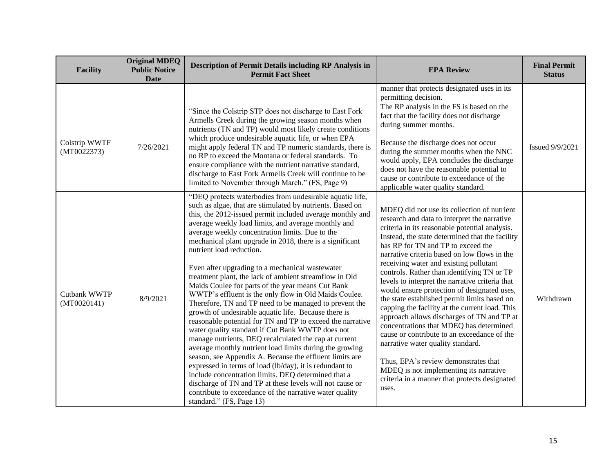| <b>Facility</b>              | <b>Original MDEQ</b><br><b>Public Notice</b><br><b>Date</b> | <b>Description of Permit Details including RP Analysis in</b><br><b>Permit Fact Sheet</b>                                                                                                                                                                                                                                                                                                                                                                                                                                                                                                                                                                                                                                                                                                                                                                                                                                                                                                                                                                                                                                                                                                                                                                                                               | <b>EPA Review</b>                                                                                                                                                                                                                                                                                                                                                                                                                                                                                                                                                                                                                                                                                                                                                                                                                                                                                           | <b>Final Permit</b><br><b>Status</b> |
|------------------------------|-------------------------------------------------------------|---------------------------------------------------------------------------------------------------------------------------------------------------------------------------------------------------------------------------------------------------------------------------------------------------------------------------------------------------------------------------------------------------------------------------------------------------------------------------------------------------------------------------------------------------------------------------------------------------------------------------------------------------------------------------------------------------------------------------------------------------------------------------------------------------------------------------------------------------------------------------------------------------------------------------------------------------------------------------------------------------------------------------------------------------------------------------------------------------------------------------------------------------------------------------------------------------------------------------------------------------------------------------------------------------------|-------------------------------------------------------------------------------------------------------------------------------------------------------------------------------------------------------------------------------------------------------------------------------------------------------------------------------------------------------------------------------------------------------------------------------------------------------------------------------------------------------------------------------------------------------------------------------------------------------------------------------------------------------------------------------------------------------------------------------------------------------------------------------------------------------------------------------------------------------------------------------------------------------------|--------------------------------------|
|                              |                                                             |                                                                                                                                                                                                                                                                                                                                                                                                                                                                                                                                                                                                                                                                                                                                                                                                                                                                                                                                                                                                                                                                                                                                                                                                                                                                                                         | manner that protects designated uses in its<br>permitting decision.                                                                                                                                                                                                                                                                                                                                                                                                                                                                                                                                                                                                                                                                                                                                                                                                                                         |                                      |
| Colstrip WWTF<br>(MT0022373) | 7/26/2021                                                   | "Since the Colstrip STP does not discharge to East Fork<br>Armells Creek during the growing season months when<br>nutrients (TN and TP) would most likely create conditions<br>which produce undesirable aquatic life, or when EPA<br>might apply federal TN and TP numeric standards, there is<br>no RP to exceed the Montana or federal standards. To<br>ensure compliance with the nutrient narrative standard,<br>discharge to East Fork Armells Creek will continue to be<br>limited to November through March." (FS, Page 9)                                                                                                                                                                                                                                                                                                                                                                                                                                                                                                                                                                                                                                                                                                                                                                      | The RP analysis in the FS is based on the<br>fact that the facility does not discharge<br>during summer months.<br>Because the discharge does not occur<br>during the summer months when the NNC<br>would apply, EPA concludes the discharge<br>does not have the reasonable potential to<br>cause or contribute to exceedance of the<br>applicable water quality standard.                                                                                                                                                                                                                                                                                                                                                                                                                                                                                                                                 | <b>Issued 9/9/2021</b>               |
| Cutbank WWTP<br>(MT0020141)  | 8/9/2021                                                    | "DEQ protects waterbodies from undesirable aquatic life,<br>such as algae, that are stimulated by nutrients. Based on<br>this, the 2012-issued permit included average monthly and<br>average weekly load limits, and average monthly and<br>average weekly concentration limits. Due to the<br>mechanical plant upgrade in 2018, there is a significant<br>nutrient load reduction.<br>Even after upgrading to a mechanical wastewater<br>treatment plant, the lack of ambient streamflow in Old<br>Maids Coulee for parts of the year means Cut Bank<br>WWTP's effluent is the only flow in Old Maids Coulee.<br>Therefore, TN and TP need to be managed to prevent the<br>growth of undesirable aquatic life. Because there is<br>reasonable potential for TN and TP to exceed the narrative<br>water quality standard if Cut Bank WWTP does not<br>manage nutrients, DEQ recalculated the cap at current<br>average monthly nutrient load limits during the growing<br>season, see Appendix A. Because the effluent limits are<br>expressed in terms of load (lb/day), it is redundant to<br>include concentration limits. DEQ determined that a<br>discharge of TN and TP at these levels will not cause or<br>contribute to exceedance of the narrative water quality<br>standard." (FS, Page 13) | MDEQ did not use its collection of nutrient<br>research and data to interpret the narrative<br>criteria in its reasonable potential analysis.<br>Instead, the state determined that the facility<br>has RP for TN and TP to exceed the<br>narrative criteria based on low flows in the<br>receiving water and existing pollutant<br>controls. Rather than identifying TN or TP<br>levels to interpret the narrative criteria that<br>would ensure protection of designated uses,<br>the state established permit limits based on<br>capping the facility at the current load. This<br>approach allows discharges of TN and TP at<br>concentrations that MDEQ has determined<br>cause or contribute to an exceedance of the<br>narrative water quality standard.<br>Thus, EPA's review demonstrates that<br>MDEQ is not implementing its narrative<br>criteria in a manner that protects designated<br>uses. | Withdrawn                            |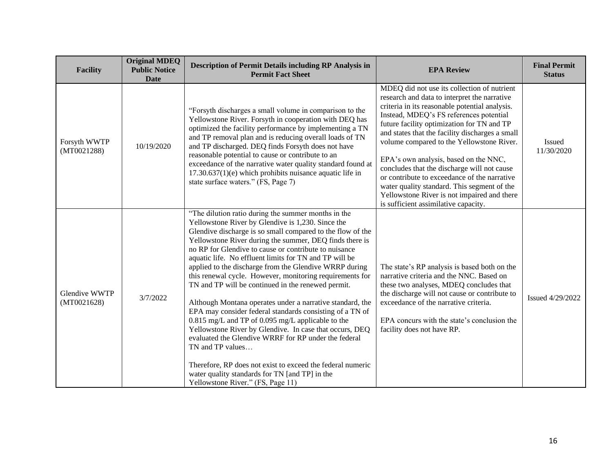| <b>Facility</b>                     | <b>Original MDEQ</b><br><b>Public Notice</b><br><b>Date</b> | <b>Description of Permit Details including RP Analysis in</b><br><b>Permit Fact Sheet</b>                                                                                                                                                                                                                                                                                                                                                                                                                                                                                                                                                                                                                                                                                                                                                                                                                                                                                                                  | <b>EPA Review</b>                                                                                                                                                                                                                                                                                                                                                                                                                                                                                                                                                                                                    | <b>Final Permit</b><br><b>Status</b> |
|-------------------------------------|-------------------------------------------------------------|------------------------------------------------------------------------------------------------------------------------------------------------------------------------------------------------------------------------------------------------------------------------------------------------------------------------------------------------------------------------------------------------------------------------------------------------------------------------------------------------------------------------------------------------------------------------------------------------------------------------------------------------------------------------------------------------------------------------------------------------------------------------------------------------------------------------------------------------------------------------------------------------------------------------------------------------------------------------------------------------------------|----------------------------------------------------------------------------------------------------------------------------------------------------------------------------------------------------------------------------------------------------------------------------------------------------------------------------------------------------------------------------------------------------------------------------------------------------------------------------------------------------------------------------------------------------------------------------------------------------------------------|--------------------------------------|
| Forsyth WWTP<br>(MT0021288)         | 10/19/2020                                                  | "Forsyth discharges a small volume in comparison to the<br>Yellowstone River. Forsyth in cooperation with DEQ has<br>optimized the facility performance by implementing a TN<br>and TP removal plan and is reducing overall loads of TN<br>and TP discharged. DEQ finds Forsyth does not have<br>reasonable potential to cause or contribute to an<br>exceedance of the narrative water quality standard found at<br>$17.30.637(1)(e)$ which prohibits nuisance aquatic life in<br>state surface waters." (FS, Page 7)                                                                                                                                                                                                                                                                                                                                                                                                                                                                                     | MDEQ did not use its collection of nutrient<br>research and data to interpret the narrative<br>criteria in its reasonable potential analysis.<br>Instead, MDEQ's FS references potential<br>future facility optimization for TN and TP<br>and states that the facility discharges a small<br>volume compared to the Yellowstone River.<br>EPA's own analysis, based on the NNC,<br>concludes that the discharge will not cause<br>or contribute to exceedance of the narrative<br>water quality standard. This segment of the<br>Yellowstone River is not impaired and there<br>is sufficient assimilative capacity. | Issued<br>11/30/2020                 |
| <b>Glendive WWTP</b><br>(MT0021628) | 3/7/2022                                                    | "The dilution ratio during the summer months in the<br>Yellowstone River by Glendive is 1,230. Since the<br>Glendive discharge is so small compared to the flow of the<br>Yellowstone River during the summer, DEQ finds there is<br>no RP for Glendive to cause or contribute to nuisance<br>aquatic life. No effluent limits for TN and TP will be<br>applied to the discharge from the Glendive WRRP during<br>this renewal cycle. However, monitoring requirements for<br>TN and TP will be continued in the renewed permit.<br>Although Montana operates under a narrative standard, the<br>EPA may consider federal standards consisting of a TN of<br>0.815 mg/L and TP of 0.095 mg/L applicable to the<br>Yellowstone River by Glendive. In case that occurs, DEQ<br>evaluated the Glendive WRRF for RP under the federal<br>TN and TP values<br>Therefore, RP does not exist to exceed the federal numeric<br>water quality standards for TN [and TP] in the<br>Yellowstone River." (FS, Page 11) | The state's RP analysis is based both on the<br>narrative criteria and the NNC. Based on<br>these two analyses, MDEQ concludes that<br>the discharge will not cause or contribute to<br>exceedance of the narrative criteria.<br>EPA concurs with the state's conclusion the<br>facility does not have RP.                                                                                                                                                                                                                                                                                                           | Issued 4/29/2022                     |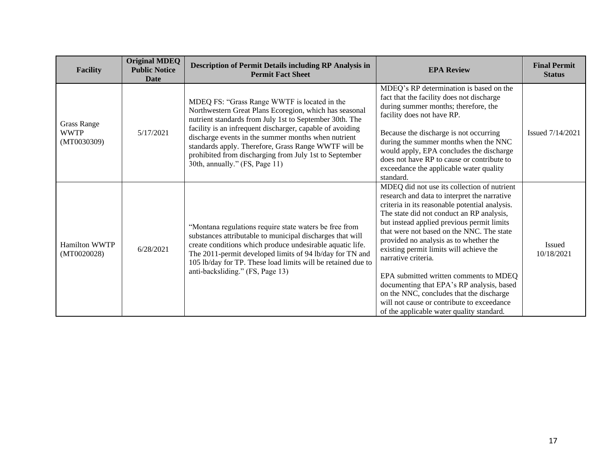| <b>Facility</b>                                  | <b>Original MDEQ</b><br><b>Public Notice</b><br>Date | <b>Description of Permit Details including RP Analysis in</b><br><b>Permit Fact Sheet</b>                                                                                                                                                                                                                                                                                                                                                 | <b>EPA Review</b>                                                                                                                                                                                                                                                                                                                                                                                                                                                                                                                                                                                                               | <b>Final Permit</b><br><b>Status</b> |
|--------------------------------------------------|------------------------------------------------------|-------------------------------------------------------------------------------------------------------------------------------------------------------------------------------------------------------------------------------------------------------------------------------------------------------------------------------------------------------------------------------------------------------------------------------------------|---------------------------------------------------------------------------------------------------------------------------------------------------------------------------------------------------------------------------------------------------------------------------------------------------------------------------------------------------------------------------------------------------------------------------------------------------------------------------------------------------------------------------------------------------------------------------------------------------------------------------------|--------------------------------------|
| <b>Grass Range</b><br><b>WWTP</b><br>(MT0030309) | 5/17/2021                                            | MDEQ FS: "Grass Range WWTF is located in the<br>Northwestern Great Plans Ecoregion, which has seasonal<br>nutrient standards from July 1st to September 30th. The<br>facility is an infrequent discharger, capable of avoiding<br>discharge events in the summer months when nutrient<br>standards apply. Therefore, Grass Range WWTF will be<br>prohibited from discharging from July 1st to September<br>30th, annually." (FS, Page 11) | MDEQ's RP determination is based on the<br>fact that the facility does not discharge<br>during summer months; therefore, the<br>facility does not have RP.<br>Because the discharge is not occurring<br>during the summer months when the NNC<br>would apply, EPA concludes the discharge<br>does not have RP to cause or contribute to<br>exceedance the applicable water quality<br>standard.                                                                                                                                                                                                                                 | Issued 7/14/2021                     |
| <b>Hamilton WWTP</b><br>(MT0020028)              | 6/28/2021                                            | "Montana regulations require state waters be free from<br>substances attributable to municipal discharges that will<br>create conditions which produce undesirable aquatic life.<br>The 2011-permit developed limits of 94 lb/day for TN and<br>105 lb/day for TP. These load limits will be retained due to<br>anti-backsliding." (FS, Page 13)                                                                                          | MDEQ did not use its collection of nutrient<br>research and data to interpret the narrative<br>criteria in its reasonable potential analysis.<br>The state did not conduct an RP analysis,<br>but instead applied previous permit limits<br>that were not based on the NNC. The state<br>provided no analysis as to whether the<br>existing permit limits will achieve the<br>narrative criteria.<br>EPA submitted written comments to MDEQ<br>documenting that EPA's RP analysis, based<br>on the NNC, concludes that the discharge<br>will not cause or contribute to exceedance<br>of the applicable water quality standard. | <b>Issued</b><br>10/18/2021          |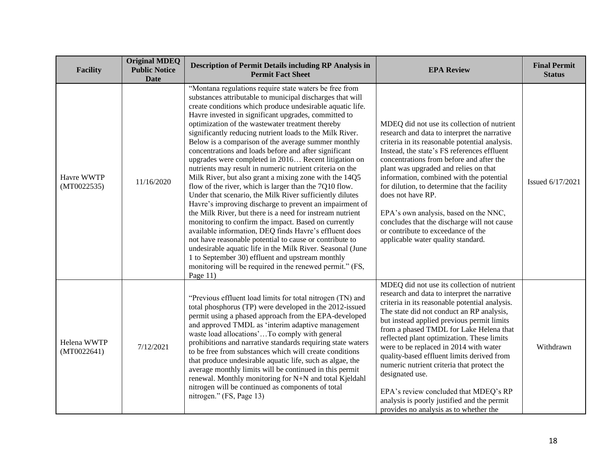| <b>Facility</b>            | <b>Original MDEQ</b><br><b>Public Notice</b><br><b>Date</b> | <b>Description of Permit Details including RP Analysis in</b><br><b>Permit Fact Sheet</b>                                                                                                                                                                                                                                                                                                                                                                                                                                                                                                                                                                                                                                                                                                                                                                                                                                                                                                                                                                                                                                                                                                                                                                                   | <b>EPA Review</b>                                                                                                                                                                                                                                                                                                                                                                                                                                                                                                                                                                                                            | <b>Final Permit</b><br><b>Status</b> |
|----------------------------|-------------------------------------------------------------|-----------------------------------------------------------------------------------------------------------------------------------------------------------------------------------------------------------------------------------------------------------------------------------------------------------------------------------------------------------------------------------------------------------------------------------------------------------------------------------------------------------------------------------------------------------------------------------------------------------------------------------------------------------------------------------------------------------------------------------------------------------------------------------------------------------------------------------------------------------------------------------------------------------------------------------------------------------------------------------------------------------------------------------------------------------------------------------------------------------------------------------------------------------------------------------------------------------------------------------------------------------------------------|------------------------------------------------------------------------------------------------------------------------------------------------------------------------------------------------------------------------------------------------------------------------------------------------------------------------------------------------------------------------------------------------------------------------------------------------------------------------------------------------------------------------------------------------------------------------------------------------------------------------------|--------------------------------------|
| Havre WWTP<br>(MT0022535)  | 11/16/2020                                                  | "Montana regulations require state waters be free from<br>substances attributable to municipal discharges that will<br>create conditions which produce undesirable aquatic life.<br>Havre invested in significant upgrades, committed to<br>optimization of the wastewater treatment thereby<br>significantly reducing nutrient loads to the Milk River.<br>Below is a comparison of the average summer monthly<br>concentrations and loads before and after significant<br>upgrades were completed in 2016 Recent litigation on<br>nutrients may result in numeric nutrient criteria on the<br>Milk River, but also grant a mixing zone with the 14Q5<br>flow of the river, which is larger than the 7Q10 flow.<br>Under that scenario, the Milk River sufficiently dilutes<br>Havre's improving discharge to prevent an impairment of<br>the Milk River, but there is a need for instream nutrient<br>monitoring to confirm the impact. Based on currently<br>available information, DEQ finds Havre's effluent does<br>not have reasonable potential to cause or contribute to<br>undesirable aquatic life in the Milk River. Seasonal (June<br>1 to September 30) effluent and upstream monthly<br>monitoring will be required in the renewed permit." (FS,<br>Page 11) | MDEQ did not use its collection of nutrient<br>research and data to interpret the narrative<br>criteria in its reasonable potential analysis.<br>Instead, the state's FS references effluent<br>concentrations from before and after the<br>plant was upgraded and relies on that<br>information, combined with the potential<br>for dilution, to determine that the facility<br>does not have RP.<br>EPA's own analysis, based on the NNC,<br>concludes that the discharge will not cause<br>or contribute to exceedance of the<br>applicable water quality standard.                                                       | Issued 6/17/2021                     |
| Helena WWTP<br>(MT0022641) | 7/12/2021                                                   | "Previous effluent load limits for total nitrogen (TN) and<br>total phosphorus (TP) were developed in the 2012-issued<br>permit using a phased approach from the EPA-developed<br>and approved TMDL as 'interim adaptive management<br>waste load allocations'To comply with general<br>prohibitions and narrative standards requiring state waters<br>to be free from substances which will create conditions<br>that produce undesirable aquatic life, such as algae, the<br>average monthly limits will be continued in this permit<br>renewal. Monthly monitoring for N+N and total Kjeldahl<br>nitrogen will be continued as components of total<br>nitrogen." (FS, Page 13)                                                                                                                                                                                                                                                                                                                                                                                                                                                                                                                                                                                           | MDEQ did not use its collection of nutrient<br>research and data to interpret the narrative<br>criteria in its reasonable potential analysis.<br>The state did not conduct an RP analysis,<br>but instead applied previous permit limits<br>from a phased TMDL for Lake Helena that<br>reflected plant optimization. These limits<br>were to be replaced in 2014 with water<br>quality-based effluent limits derived from<br>numeric nutrient criteria that protect the<br>designated use.<br>EPA's review concluded that MDEQ's RP<br>analysis is poorly justified and the permit<br>provides no analysis as to whether the | Withdrawn                            |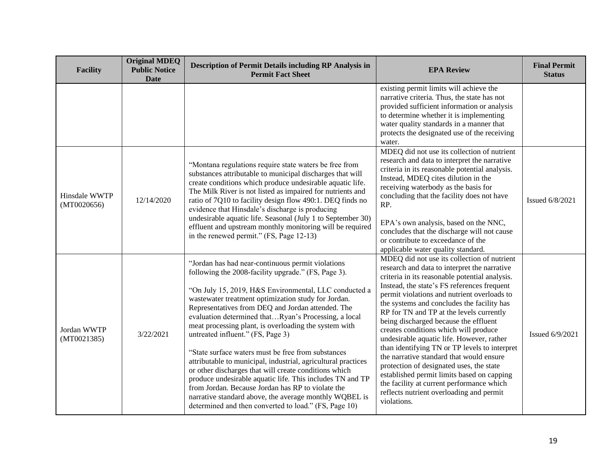| <b>Facility</b>              | <b>Original MDEQ</b><br><b>Public Notice</b><br><b>Date</b> | <b>Description of Permit Details including RP Analysis in</b><br><b>Permit Fact Sheet</b>                                                                                                                                                                                                                                                                                                                                                                                                                                                                                                                                                                                                                                                                                                                                                                | <b>EPA Review</b>                                                                                                                                                                                                                                                                                                                                                                                                                                                                                                                                                                                                                                                                                                                                                   | <b>Final Permit</b><br><b>Status</b> |
|------------------------------|-------------------------------------------------------------|----------------------------------------------------------------------------------------------------------------------------------------------------------------------------------------------------------------------------------------------------------------------------------------------------------------------------------------------------------------------------------------------------------------------------------------------------------------------------------------------------------------------------------------------------------------------------------------------------------------------------------------------------------------------------------------------------------------------------------------------------------------------------------------------------------------------------------------------------------|---------------------------------------------------------------------------------------------------------------------------------------------------------------------------------------------------------------------------------------------------------------------------------------------------------------------------------------------------------------------------------------------------------------------------------------------------------------------------------------------------------------------------------------------------------------------------------------------------------------------------------------------------------------------------------------------------------------------------------------------------------------------|--------------------------------------|
|                              |                                                             |                                                                                                                                                                                                                                                                                                                                                                                                                                                                                                                                                                                                                                                                                                                                                                                                                                                          | existing permit limits will achieve the<br>narrative criteria. Thus, the state has not<br>provided sufficient information or analysis<br>to determine whether it is implementing<br>water quality standards in a manner that<br>protects the designated use of the receiving<br>water.                                                                                                                                                                                                                                                                                                                                                                                                                                                                              |                                      |
| Hinsdale WWTP<br>(MT0020656) | 12/14/2020                                                  | "Montana regulations require state waters be free from<br>substances attributable to municipal discharges that will<br>create conditions which produce undesirable aquatic life.<br>The Milk River is not listed as impaired for nutrients and<br>ratio of 7Q10 to facility design flow 490:1. DEQ finds no<br>evidence that Hinsdale's discharge is producing<br>undesirable aquatic life. Seasonal (July 1 to September 30)<br>effluent and upstream monthly monitoring will be required<br>in the renewed permit." (FS, Page 12-13)                                                                                                                                                                                                                                                                                                                   | MDEQ did not use its collection of nutrient<br>research and data to interpret the narrative<br>criteria in its reasonable potential analysis.<br>Instead, MDEQ cites dilution in the<br>receiving waterbody as the basis for<br>concluding that the facility does not have<br>RP.<br>EPA's own analysis, based on the NNC,<br>concludes that the discharge will not cause<br>or contribute to exceedance of the<br>applicable water quality standard.                                                                                                                                                                                                                                                                                                               | Issued 6/8/2021                      |
| Jordan WWTP<br>(MT0021385)   | 3/22/2021                                                   | "Jordan has had near-continuous permit violations<br>following the 2008-facility upgrade." (FS, Page 3).<br>"On July 15, 2019, H&S Environmental, LLC conducted a<br>wastewater treatment optimization study for Jordan.<br>Representatives from DEQ and Jordan attended. The<br>evaluation determined thatRyan's Processing, a local<br>meat processing plant, is overloading the system with<br>untreated influent." (FS, Page 3)<br>"State surface waters must be free from substances<br>attributable to municipal, industrial, agricultural practices<br>or other discharges that will create conditions which<br>produce undesirable aquatic life. This includes TN and TP<br>from Jordan. Because Jordan has RP to violate the<br>narrative standard above, the average monthly WQBEL is<br>determined and then converted to load." (FS, Page 10) | MDEQ did not use its collection of nutrient<br>research and data to interpret the narrative<br>criteria in its reasonable potential analysis.<br>Instead, the state's FS references frequent<br>permit violations and nutrient overloads to<br>the systems and concludes the facility has<br>RP for TN and TP at the levels currently<br>being discharged because the effluent<br>creates conditions which will produce<br>undesirable aquatic life. However, rather<br>than identifying TN or TP levels to interpret<br>the narrative standard that would ensure<br>protection of designated uses, the state<br>established permit limits based on capping<br>the facility at current performance which<br>reflects nutrient overloading and permit<br>violations. | Issued 6/9/2021                      |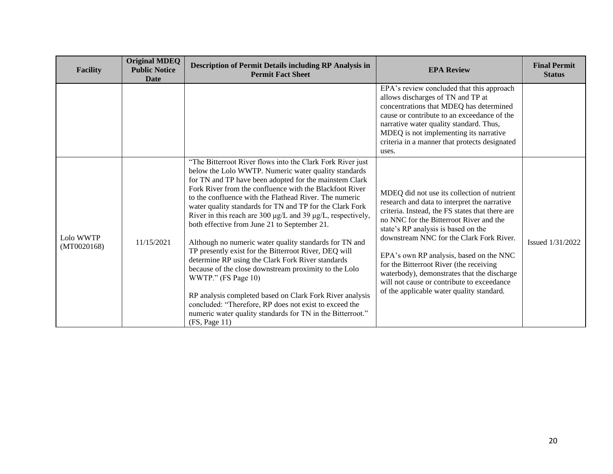| <b>Facility</b>          | <b>Original MDEQ</b><br><b>Public Notice</b><br><b>Date</b> | <b>Description of Permit Details including RP Analysis in</b><br><b>Permit Fact Sheet</b>                                                                                                                                                                                                                                                                                                                                                                                                                                                                                                                                                                                                                                                                                                                                                                                                                                                 | <b>EPA Review</b>                                                                                                                                                                                                                                                                                                                                                                                                                                                                                            | <b>Final Permit</b><br><b>Status</b> |
|--------------------------|-------------------------------------------------------------|-------------------------------------------------------------------------------------------------------------------------------------------------------------------------------------------------------------------------------------------------------------------------------------------------------------------------------------------------------------------------------------------------------------------------------------------------------------------------------------------------------------------------------------------------------------------------------------------------------------------------------------------------------------------------------------------------------------------------------------------------------------------------------------------------------------------------------------------------------------------------------------------------------------------------------------------|--------------------------------------------------------------------------------------------------------------------------------------------------------------------------------------------------------------------------------------------------------------------------------------------------------------------------------------------------------------------------------------------------------------------------------------------------------------------------------------------------------------|--------------------------------------|
|                          |                                                             |                                                                                                                                                                                                                                                                                                                                                                                                                                                                                                                                                                                                                                                                                                                                                                                                                                                                                                                                           | EPA's review concluded that this approach<br>allows discharges of TN and TP at<br>concentrations that MDEQ has determined<br>cause or contribute to an exceedance of the<br>narrative water quality standard. Thus,<br>MDEQ is not implementing its narrative<br>criteria in a manner that protects designated<br>uses.                                                                                                                                                                                      |                                      |
| Lolo WWTP<br>(MT0020168) | 11/15/2021                                                  | "The Bitterroot River flows into the Clark Fork River just<br>below the Lolo WWTP. Numeric water quality standards<br>for TN and TP have been adopted for the mainstem Clark<br>Fork River from the confluence with the Blackfoot River<br>to the confluence with the Flathead River. The numeric<br>water quality standards for TN and TP for the Clark Fork<br>River in this reach are 300 µg/L and 39 µg/L, respectively,<br>both effective from June 21 to September 21.<br>Although no numeric water quality standards for TN and<br>TP presently exist for the Bitterroot River, DEQ will<br>determine RP using the Clark Fork River standards<br>because of the close downstream proximity to the Lolo<br>WWTP." (FS Page 10)<br>RP analysis completed based on Clark Fork River analysis<br>concluded: "Therefore, RP does not exist to exceed the<br>numeric water quality standards for TN in the Bitterroot."<br>(FS, Page 11) | MDEQ did not use its collection of nutrient<br>research and data to interpret the narrative<br>criteria. Instead, the FS states that there are<br>no NNC for the Bitterroot River and the<br>state's RP analysis is based on the<br>downstream NNC for the Clark Fork River.<br>EPA's own RP analysis, based on the NNC<br>for the Bitterroot River (the receiving<br>waterbody), demonstrates that the discharge<br>will not cause or contribute to exceedance<br>of the applicable water quality standard. | Issued 1/31/2022                     |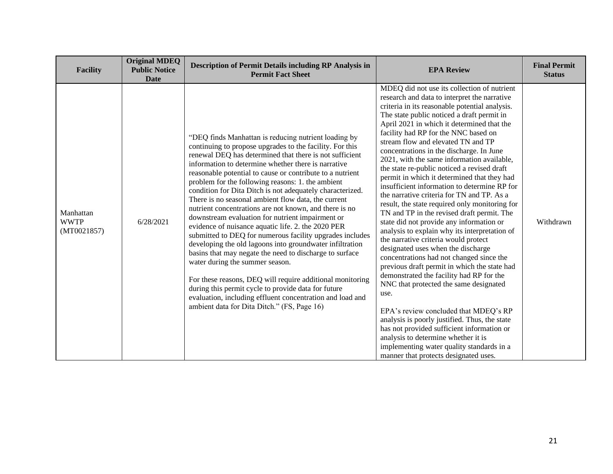| <b>Facility</b>                         | <b>Original MDEQ</b><br><b>Public Notice</b><br><b>Date</b> | Description of Permit Details including RP Analysis in<br><b>Permit Fact Sheet</b>                                                                                                                                                                                                                                                                                                                                                                                                                                                                                                                                                                                                                                                                                                                                                                                                                                                                                                                                                                                                                 | <b>EPA Review</b>                                                                                                                                                                                                                                                                                                                                                                                                                                                                                                                                                                                                                                                                                                                                                                                                                                                                                                                                                                                                                                                                                                                                                                                                                                                                                                                                       | <b>Final Permit</b><br><b>Status</b> |
|-----------------------------------------|-------------------------------------------------------------|----------------------------------------------------------------------------------------------------------------------------------------------------------------------------------------------------------------------------------------------------------------------------------------------------------------------------------------------------------------------------------------------------------------------------------------------------------------------------------------------------------------------------------------------------------------------------------------------------------------------------------------------------------------------------------------------------------------------------------------------------------------------------------------------------------------------------------------------------------------------------------------------------------------------------------------------------------------------------------------------------------------------------------------------------------------------------------------------------|---------------------------------------------------------------------------------------------------------------------------------------------------------------------------------------------------------------------------------------------------------------------------------------------------------------------------------------------------------------------------------------------------------------------------------------------------------------------------------------------------------------------------------------------------------------------------------------------------------------------------------------------------------------------------------------------------------------------------------------------------------------------------------------------------------------------------------------------------------------------------------------------------------------------------------------------------------------------------------------------------------------------------------------------------------------------------------------------------------------------------------------------------------------------------------------------------------------------------------------------------------------------------------------------------------------------------------------------------------|--------------------------------------|
| Manhattan<br><b>WWTP</b><br>(MT0021857) | 6/28/2021                                                   | "DEQ finds Manhattan is reducing nutrient loading by<br>continuing to propose upgrades to the facility. For this<br>renewal DEQ has determined that there is not sufficient<br>information to determine whether there is narrative<br>reasonable potential to cause or contribute to a nutrient<br>problem for the following reasons: 1. the ambient<br>condition for Dita Ditch is not adequately characterized.<br>There is no seasonal ambient flow data, the current<br>nutrient concentrations are not known, and there is no<br>downstream evaluation for nutrient impairment or<br>evidence of nuisance aquatic life. 2. the 2020 PER<br>submitted to DEQ for numerous facility upgrades includes<br>developing the old lagoons into groundwater infiltration<br>basins that may negate the need to discharge to surface<br>water during the summer season.<br>For these reasons, DEQ will require additional monitoring<br>during this permit cycle to provide data for future<br>evaluation, including effluent concentration and load and<br>ambient data for Dita Ditch." (FS, Page 16) | MDEQ did not use its collection of nutrient<br>research and data to interpret the narrative<br>criteria in its reasonable potential analysis.<br>The state public noticed a draft permit in<br>April 2021 in which it determined that the<br>facility had RP for the NNC based on<br>stream flow and elevated TN and TP<br>concentrations in the discharge. In June<br>2021, with the same information available,<br>the state re-public noticed a revised draft<br>permit in which it determined that they had<br>insufficient information to determine RP for<br>the narrative criteria for TN and TP. As a<br>result, the state required only monitoring for<br>TN and TP in the revised draft permit. The<br>state did not provide any information or<br>analysis to explain why its interpretation of<br>the narrative criteria would protect<br>designated uses when the discharge<br>concentrations had not changed since the<br>previous draft permit in which the state had<br>demonstrated the facility had RP for the<br>NNC that protected the same designated<br>use.<br>EPA's review concluded that MDEQ's RP<br>analysis is poorly justified. Thus, the state<br>has not provided sufficient information or<br>analysis to determine whether it is<br>implementing water quality standards in a<br>manner that protects designated uses. | Withdrawn                            |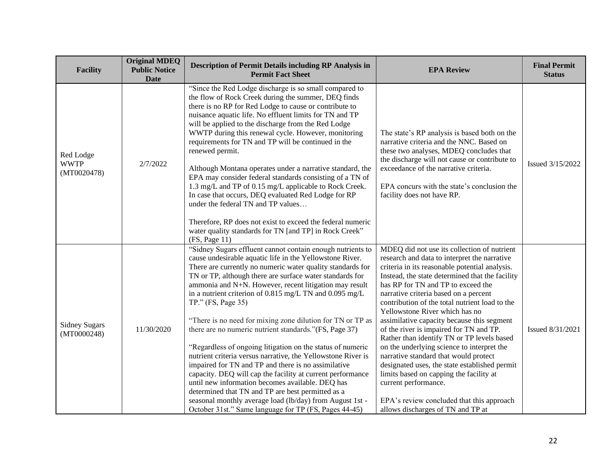| <b>Facility</b>                         | <b>Original MDEQ</b><br><b>Public Notice</b><br><b>Date</b> | <b>Description of Permit Details including RP Analysis in</b><br><b>Permit Fact Sheet</b>                                                                                                                                                                                                                                                                                                                                                                                                                                                                                                                                                                                                                                                                                                                                                                                                                                                                                                               | <b>EPA Review</b>                                                                                                                                                                                                                                                                                                                                                                                                                                                                                                                                                                                                                                                                                                                                                                                       | <b>Final Permit</b><br><b>Status</b> |
|-----------------------------------------|-------------------------------------------------------------|---------------------------------------------------------------------------------------------------------------------------------------------------------------------------------------------------------------------------------------------------------------------------------------------------------------------------------------------------------------------------------------------------------------------------------------------------------------------------------------------------------------------------------------------------------------------------------------------------------------------------------------------------------------------------------------------------------------------------------------------------------------------------------------------------------------------------------------------------------------------------------------------------------------------------------------------------------------------------------------------------------|---------------------------------------------------------------------------------------------------------------------------------------------------------------------------------------------------------------------------------------------------------------------------------------------------------------------------------------------------------------------------------------------------------------------------------------------------------------------------------------------------------------------------------------------------------------------------------------------------------------------------------------------------------------------------------------------------------------------------------------------------------------------------------------------------------|--------------------------------------|
| Red Lodge<br><b>WWTP</b><br>(MT0020478) | 2/7/2022                                                    | "Since the Red Lodge discharge is so small compared to<br>the flow of Rock Creek during the summer, DEQ finds<br>there is no RP for Red Lodge to cause or contribute to<br>nuisance aquatic life. No effluent limits for TN and TP<br>will be applied to the discharge from the Red Lodge<br>WWTP during this renewal cycle. However, monitoring<br>requirements for TN and TP will be continued in the<br>renewed permit.<br>Although Montana operates under a narrative standard, the<br>EPA may consider federal standards consisting of a TN of<br>1.3 mg/L and TP of 0.15 mg/L applicable to Rock Creek.<br>In case that occurs, DEQ evaluated Red Lodge for RP<br>under the federal TN and TP values<br>Therefore, RP does not exist to exceed the federal numeric<br>water quality standards for TN [and TP] in Rock Creek"<br>(FS, Page 11)                                                                                                                                                     | The state's RP analysis is based both on the<br>narrative criteria and the NNC. Based on<br>these two analyses, MDEQ concludes that<br>the discharge will not cause or contribute to<br>exceedance of the narrative criteria.<br>EPA concurs with the state's conclusion the<br>facility does not have RP.                                                                                                                                                                                                                                                                                                                                                                                                                                                                                              | Issued 3/15/2022                     |
| <b>Sidney Sugars</b><br>(MT0000248)     | 11/30/2020                                                  | "Sidney Sugars effluent cannot contain enough nutrients to<br>cause undesirable aquatic life in the Yellowstone River.<br>There are currently no numeric water quality standards for<br>TN or TP, although there are surface water standards for<br>ammonia and N+N. However, recent litigation may result<br>in a nutrient criterion of 0.815 mg/L TN and 0.095 mg/L<br>$TP$ ." (FS, Page 35)<br>"There is no need for mixing zone dilution for TN or TP as<br>there are no numeric nutrient standards."(FS, Page 37)<br>"Regardless of ongoing litigation on the status of numeric<br>nutrient criteria versus narrative, the Yellowstone River is<br>impaired for TN and TP and there is no assimilative<br>capacity. DEQ will cap the facility at current performance<br>until new information becomes available. DEQ has<br>determined that TN and TP are best permitted as a<br>seasonal monthly average load (lb/day) from August 1st -<br>October 31st." Same language for TP (FS, Pages 44-45) | MDEQ did not use its collection of nutrient<br>research and data to interpret the narrative<br>criteria in its reasonable potential analysis.<br>Instead, the state determined that the facility<br>has RP for TN and TP to exceed the<br>narrative criteria based on a percent<br>contribution of the total nutrient load to the<br>Yellowstone River which has no<br>assimilative capacity because this segment<br>of the river is impaired for TN and TP.<br>Rather than identify TN or TP levels based<br>on the underlying science to interpret the<br>narrative standard that would protect<br>designated uses, the state established permit<br>limits based on capping the facility at<br>current performance.<br>EPA's review concluded that this approach<br>allows discharges of TN and TP at | Issued 8/31/2021                     |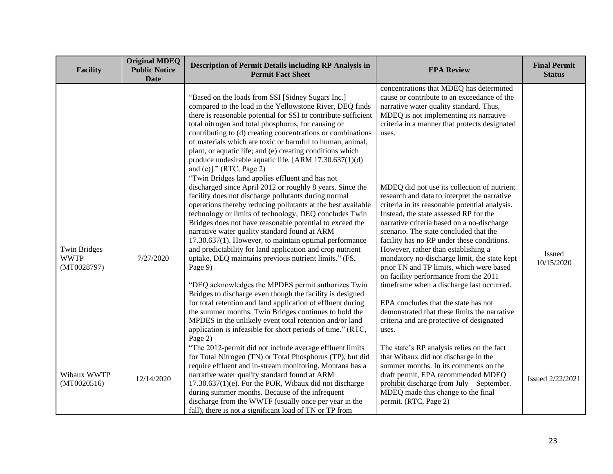| <b>Facility</b>                                   | <b>Original MDEQ</b><br><b>Public Notice</b><br><b>Date</b> | <b>Description of Permit Details including RP Analysis in</b><br><b>Permit Fact Sheet</b>                                                                                                                                                                                                                                                                                                                                                                                                                                                                                                                                                                                                                                                                                                                                                                                                                                                                                              | <b>EPA Review</b>                                                                                                                                                                                                                                                                                                                                                                                                                                                                                                                                                                                                                                                                                    | <b>Final Permit</b><br><b>Status</b> |
|---------------------------------------------------|-------------------------------------------------------------|----------------------------------------------------------------------------------------------------------------------------------------------------------------------------------------------------------------------------------------------------------------------------------------------------------------------------------------------------------------------------------------------------------------------------------------------------------------------------------------------------------------------------------------------------------------------------------------------------------------------------------------------------------------------------------------------------------------------------------------------------------------------------------------------------------------------------------------------------------------------------------------------------------------------------------------------------------------------------------------|------------------------------------------------------------------------------------------------------------------------------------------------------------------------------------------------------------------------------------------------------------------------------------------------------------------------------------------------------------------------------------------------------------------------------------------------------------------------------------------------------------------------------------------------------------------------------------------------------------------------------------------------------------------------------------------------------|--------------------------------------|
|                                                   |                                                             | "Based on the loads from SSI [Sidney Sugars Inc.]<br>compared to the load in the Yellowstone River, DEQ finds<br>there is reasonable potential for SSI to contribute sufficient<br>total nitrogen and total phosphorus, for causing or<br>contributing to (d) creating concentrations or combinations<br>of materials which are toxic or harmful to human, animal,<br>plant, or aquatic life; and (e) creating conditions which<br>produce undesirable aquatic life. [ARM 17.30.637(1)(d)<br>and (e)]." (RTC, Page 2)                                                                                                                                                                                                                                                                                                                                                                                                                                                                  | concentrations that MDEQ has determined<br>cause or contribute to an exceedance of the<br>narrative water quality standard. Thus,<br>MDEQ is not implementing its narrative<br>criteria in a manner that protects designated<br>uses.                                                                                                                                                                                                                                                                                                                                                                                                                                                                |                                      |
| <b>Twin Bridges</b><br><b>WWTP</b><br>(MT0028797) | 7/27/2020                                                   | "Twin Bridges land applies effluent and has not<br>discharged since April 2012 or roughly 8 years. Since the<br>facility does not discharge pollutants during normal<br>operations thereby reducing pollutants at the best available<br>technology or limits of technology, DEQ concludes Twin<br>Bridges does not have reasonable potential to exceed the<br>narrative water quality standard found at ARM<br>17.30.637(1). However, to maintain optimal performance<br>and predictability for land application and crop nutrient<br>uptake, DEQ maintains previous nutrient limits." (FS,<br>Page 9)<br>"DEQ acknowledges the MPDES permit authorizes Twin<br>Bridges to discharge even though the facility is designed<br>for total retention and land application of effluent during<br>the summer months. Twin Bridges continues to hold the<br>MPDES in the unlikely event total retention and/or land<br>application is infeasible for short periods of time." (RTC,<br>Page 2) | MDEQ did not use its collection of nutrient<br>research and data to interpret the narrative<br>criteria in its reasonable potential analysis.<br>Instead, the state assessed RP for the<br>narrative criteria based on a no-discharge<br>scenario. The state concluded that the<br>facility has no RP under these conditions.<br>However, rather than establishing a<br>mandatory no-discharge limit, the state kept<br>prior TN and TP limits, which were based<br>on facility performance from the 2011<br>timeframe when a discharge last occurred.<br>EPA concludes that the state has not<br>demonstrated that these limits the narrative<br>criteria and are protective of designated<br>uses. | <b>Issued</b><br>10/15/2020          |
| Wibaux WWTP<br>(MT0020516)                        | 12/14/2020                                                  | "The 2012-permit did not include average effluent limits<br>for Total Nitrogen (TN) or Total Phosphorus (TP), but did<br>require effluent and in-stream monitoring. Montana has a<br>narrative water quality standard found at ARM<br>17.30.637(1)(e). For the POR, Wibaux did not discharge<br>during summer months. Because of the infrequent<br>discharge from the WWTF (usually once per year in the<br>fall), there is not a significant load of TN or TP from                                                                                                                                                                                                                                                                                                                                                                                                                                                                                                                    | The state's RP analysis relies on the fact<br>that Wibaux did not discharge in the<br>summer months. In its comments on the<br>draft permit, EPA recommended MDEQ<br>prohibit discharge from July - September.<br>MDEQ made this change to the final<br>permit. (RTC, Page 2)                                                                                                                                                                                                                                                                                                                                                                                                                        | Issued 2/22/2021                     |